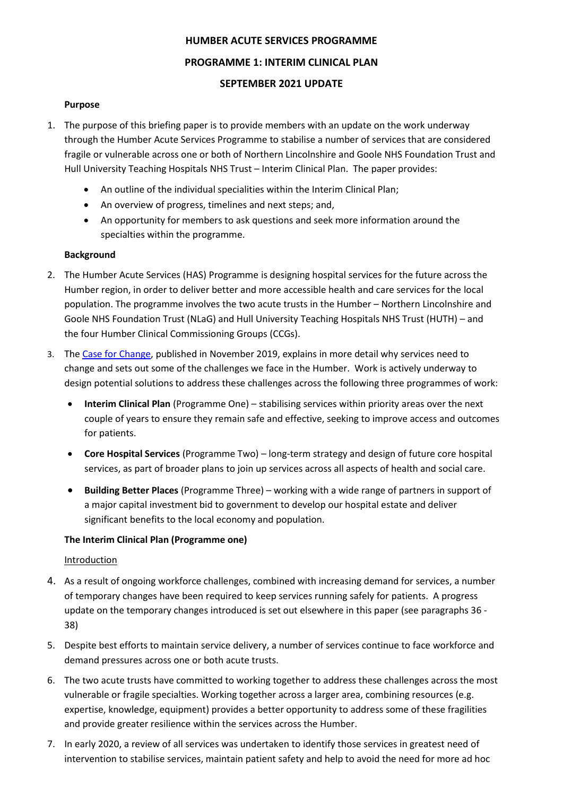### **HUMBER ACUTE SERVICES PROGRAMME**

### **PROGRAMME 1: INTERIM CLINICAL PLAN**

### **SEPTEMBER 2021 UPDATE**

### **Purpose**

- 1. The purpose of this briefing paper is to provide members with an update on the work underway through the Humber Acute Services Programme to stabilise a number of services that are considered fragile or vulnerable across one or both of Northern Lincolnshire and Goole NHS Foundation Trust and Hull University Teaching Hospitals NHS Trust – Interim Clinical Plan. The paper provides:
	- An outline of the individual specialities within the Interim Clinical Plan;
	- An overview of progress, timelines and next steps; and,
	- An opportunity for members to ask questions and seek more information around the specialties within the programme.

### **Background**

- 2. The Humber Acute Services (HAS) Programme is designing hospital services for the future across the Humber region, in order to deliver better and more accessible health and care services for the local population. The programme involves the two acute trusts in the Humber – Northern Lincolnshire and Goole NHS Foundation Trust (NLaG) and Hull University Teaching Hospitals NHS Trust (HUTH) – and the four Humber Clinical Commissioning Groups (CCGs).
- 3. The [Case for Change,](https://humbercoastandvale.org.uk/wp-content/uploads/2020/02/HASR-Long-Case-for-Change_Final-for-Publication.pdf) published in November 2019, explains in more detail why services need to change and sets out some of the challenges we face in the Humber. Work is actively underway to design potential solutions to address these challenges across the following three programmes of work:
	- **Interim Clinical Plan** (Programme One) stabilising services within priority areas over the next couple of years to ensure they remain safe and effective, seeking to improve access and outcomes for patients.
	- **Core Hospital Services** (Programme Two) long-term strategy and design of future core hospital services, as part of broader plans to join up services across all aspects of health and social care.
	- **Building Better Places** (Programme Three) working with a wide range of partners in support of a major capital investment bid to government to develop our hospital estate and deliver significant benefits to the local economy and population.

### **The Interim Clinical Plan (Programme one)**

### **Introduction**

- 4. As a result of ongoing workforce challenges, combined with increasing demand for services, a number of temporary changes have been required to keep services running safely for patients. A progress update on the temporary changes introduced is set out elsewhere in this paper (see paragraphs 36 - 38)
- 5. Despite best efforts to maintain service delivery, a number of services continue to face workforce and demand pressures across one or both acute trusts.
- 6. The two acute trusts have committed to working together to address these challenges across the most vulnerable or fragile specialties. Working together across a larger area, combining resources (e.g. expertise, knowledge, equipment) provides a better opportunity to address some of these fragilities and provide greater resilience within the services across the Humber.
- 7. In early 2020, a review of all services was undertaken to identify those services in greatest need of intervention to stabilise services, maintain patient safety and help to avoid the need for more ad hoc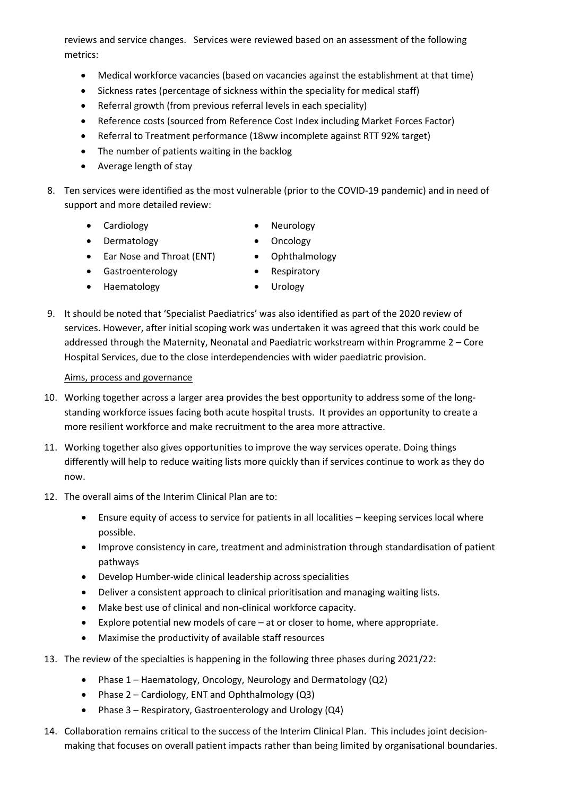reviews and service changes. Services were reviewed based on an assessment of the following metrics:

- Medical workforce vacancies (based on vacancies against the establishment at that time)
- Sickness rates (percentage of sickness within the speciality for medical staff)
- Referral growth (from previous referral levels in each speciality)
- Reference costs (sourced from Reference Cost Index including Market Forces Factor)
- Referral to Treatment performance (18ww incomplete against RTT 92% target)
- The number of patients waiting in the backlog
- Average length of stay
- 8. Ten services were identified as the most vulnerable (prior to the COVID-19 pandemic) and in need of support and more detailed review:
	-
	- Cardiology  **Neurology**
	- Dermatology Oncology
	- Ear Nose and Throat (ENT) Ophthalmology
	- Gastroenterology Respiratory
	- Haematology Urology
- 
- 9. It should be noted that 'Specialist Paediatrics' was also identified as part of the 2020 review of services. However, after initial scoping work was undertaken it was agreed that this work could be addressed through the Maternity, Neonatal and Paediatric workstream within Programme 2 – Core Hospital Services, due to the close interdependencies with wider paediatric provision.

### Aims, process and governance

- 10. Working together across a larger area provides the best opportunity to address some of the longstanding workforce issues facing both acute hospital trusts. It provides an opportunity to create a more resilient workforce and make recruitment to the area more attractive.
- 11. Working together also gives opportunities to improve the way services operate. Doing things differently will help to reduce waiting lists more quickly than if services continue to work as they do now.
- 12. The overall aims of the Interim Clinical Plan are to:
	- Ensure equity of access to service for patients in all localities keeping services local where possible.
	- Improve consistency in care, treatment and administration through standardisation of patient pathways
	- Develop Humber-wide clinical leadership across specialities
	- Deliver a consistent approach to clinical prioritisation and managing waiting lists.
	- Make best use of clinical and non-clinical workforce capacity.
	- Explore potential new models of care at or closer to home, where appropriate.
	- Maximise the productivity of available staff resources
- 13. The review of the specialties is happening in the following three phases during 2021/22:
	- Phase 1 Haematology, Oncology, Neurology and Dermatology (Q2)
	- Phase 2 Cardiology, ENT and Ophthalmology (Q3)
	- Phase 3 Respiratory, Gastroenterology and Urology (Q4)
- 14. Collaboration remains critical to the success of the Interim Clinical Plan. This includes joint decisionmaking that focuses on overall patient impacts rather than being limited by organisational boundaries.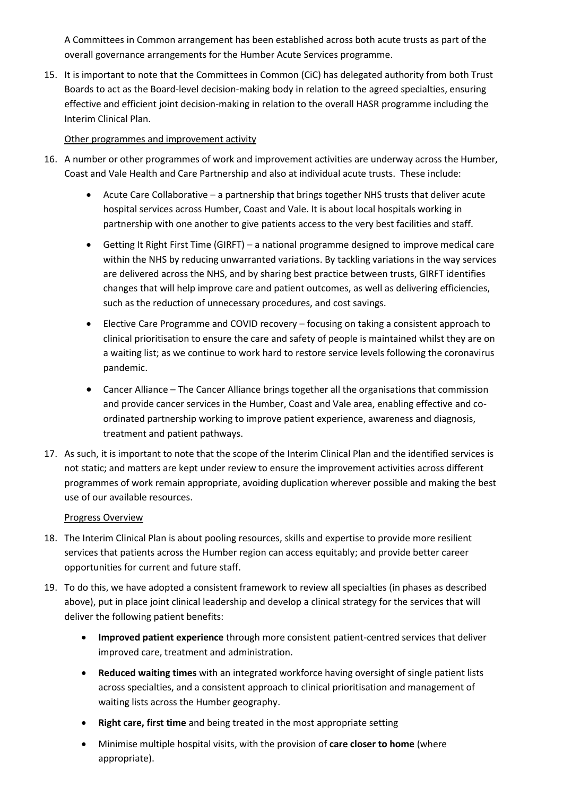A Committees in Common arrangement has been established across both acute trusts as part of the overall governance arrangements for the Humber Acute Services programme.

15. It is important to note that the Committees in Common (CiC) has delegated authority from both Trust Boards to act as the Board-level decision-making body in relation to the agreed specialties, ensuring effective and efficient joint decision-making in relation to the overall HASR programme including the Interim Clinical Plan.

### Other programmes and improvement activity

- 16. A number or other programmes of work and improvement activities are underway across the Humber, Coast and Vale Health and Care Partnership and also at individual acute trusts. These include:
	- Acute Care Collaborative a partnership that brings together NHS trusts that deliver acute hospital services across Humber, Coast and Vale. It is about local hospitals working in partnership with one another to give patients access to the very best facilities and staff.
	- Getting It Right First Time (GIRFT) a national programme designed to improve medical care within the NHS by reducing unwarranted variations. By tackling variations in the way services are delivered across the NHS, and by sharing best practice between trusts, GIRFT identifies changes that will help improve care and patient outcomes, as well as delivering efficiencies, such as the reduction of unnecessary procedures, and cost savings.
	- Elective Care Programme and COVID recovery focusing on taking a consistent approach to clinical prioritisation to ensure the care and safety of people is maintained whilst they are on a waiting list; as we continue to work hard to restore service levels following the coronavirus pandemic.
	- Cancer Alliance The Cancer Alliance brings together all the organisations that commission and provide cancer services in the Humber, Coast and Vale area, enabling effective and coordinated partnership working to improve patient experience, awareness and diagnosis, treatment and patient pathways.
- 17. As such, it is important to note that the scope of the Interim Clinical Plan and the identified services is not static; and matters are kept under review to ensure the improvement activities across different programmes of work remain appropriate, avoiding duplication wherever possible and making the best use of our available resources.

### Progress Overview

- 18. The Interim Clinical Plan is about pooling resources, skills and expertise to provide more resilient services that patients across the Humber region can access equitably; and provide better career opportunities for current and future staff.
- 19. To do this, we have adopted a consistent framework to review all specialties (in phases as described above), put in place joint clinical leadership and develop a clinical strategy for the services that will deliver the following patient benefits:
	- **Improved patient experience** through more consistent patient-centred services that deliver improved care, treatment and administration.
	- **Reduced waiting times** with an integrated workforce having oversight of single patient lists across specialties, and a consistent approach to clinical prioritisation and management of waiting lists across the Humber geography.
	- **Right care, first time** and being treated in the most appropriate setting
	- Minimise multiple hospital visits, with the provision of **care closer to home** (where appropriate).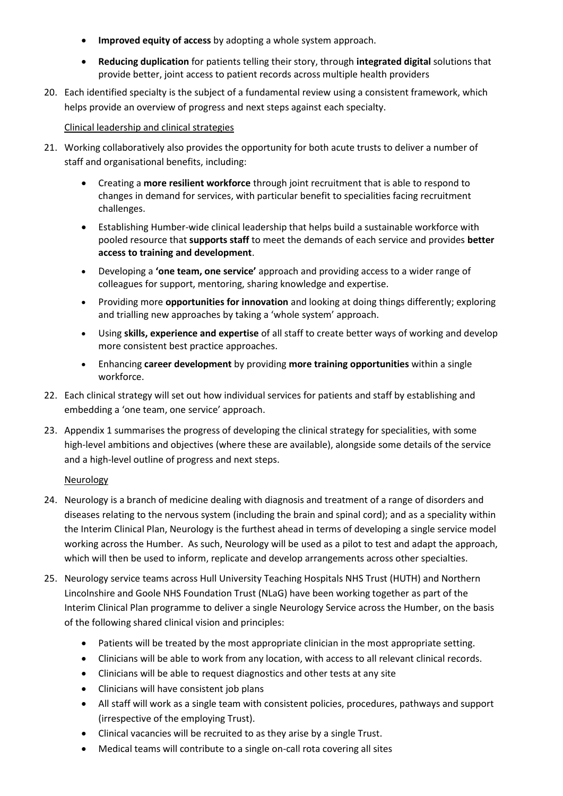- **Improved equity of access** by adopting a whole system approach.
- **Reducing duplication** for patients telling their story, through **integrated digital** solutions that provide better, joint access to patient records across multiple health providers
- 20. Each identified specialty is the subject of a fundamental review using a consistent framework, which helps provide an overview of progress and next steps against each specialty.

### Clinical leadership and clinical strategies

- 21. Working collaboratively also provides the opportunity for both acute trusts to deliver a number of staff and organisational benefits, including:
	- Creating a **more resilient workforce** through joint recruitment that is able to respond to changes in demand for services, with particular benefit to specialities facing recruitment challenges.
	- Establishing Humber-wide clinical leadership that helps build a sustainable workforce with pooled resource that **supports staff** to meet the demands of each service and provides **better access to training and development**.
	- Developing a **'one team, one service'** approach and providing access to a wider range of colleagues for support, mentoring, sharing knowledge and expertise.
	- Providing more **opportunities for innovation** and looking at doing things differently; exploring and trialling new approaches by taking a 'whole system' approach.
	- Using **skills, experience and expertise** of all staff to create better ways of working and develop more consistent best practice approaches.
	- Enhancing **career development** by providing **more training opportunities** within a single workforce.
- 22. Each clinical strategy will set out how individual services for patients and staff by establishing and embedding a 'one team, one service' approach.
- 23. Appendix 1 summarises the progress of developing the clinical strategy for specialities, with some high-level ambitions and objectives (where these are available), alongside some details of the service and a high-level outline of progress and next steps.

### **Neurology**

- 24. Neurology is a branch of medicine dealing with diagnosis and treatment of a range of disorders and diseases relating to the nervous system (including the brain and spinal cord); and as a speciality within the Interim Clinical Plan, Neurology is the furthest ahead in terms of developing a single service model working across the Humber. As such, Neurology will be used as a pilot to test and adapt the approach, which will then be used to inform, replicate and develop arrangements across other specialties.
- 25. Neurology service teams across Hull University Teaching Hospitals NHS Trust (HUTH) and Northern Lincolnshire and Goole NHS Foundation Trust (NLaG) have been working together as part of the Interim Clinical Plan programme to deliver a single Neurology Service across the Humber, on the basis of the following shared clinical vision and principles:
	- Patients will be treated by the most appropriate clinician in the most appropriate setting.
	- Clinicians will be able to work from any location, with access to all relevant clinical records.
	- Clinicians will be able to request diagnostics and other tests at any site
	- Clinicians will have consistent job plans
	- All staff will work as a single team with consistent policies, procedures, pathways and support (irrespective of the employing Trust).
	- Clinical vacancies will be recruited to as they arise by a single Trust.
	- Medical teams will contribute to a single on-call rota covering all sites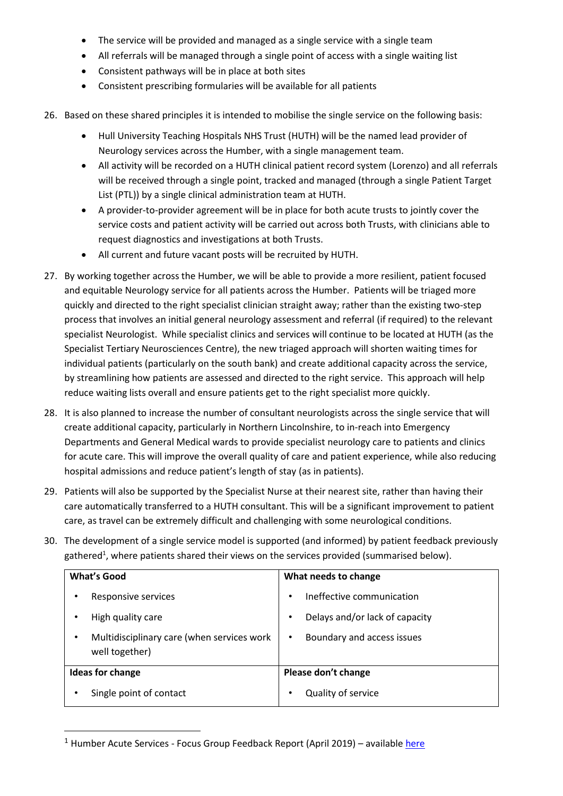- The service will be provided and managed as a single service with a single team
- All referrals will be managed through a single point of access with a single waiting list
- Consistent pathways will be in place at both sites
- Consistent prescribing formularies will be available for all patients
- 26. Based on these shared principles it is intended to mobilise the single service on the following basis:
	- Hull University Teaching Hospitals NHS Trust (HUTH) will be the named lead provider of Neurology services across the Humber, with a single management team.
	- All activity will be recorded on a HUTH clinical patient record system (Lorenzo) and all referrals will be received through a single point, tracked and managed (through a single Patient Target List (PTL)) by a single clinical administration team at HUTH.
	- A provider-to-provider agreement will be in place for both acute trusts to jointly cover the service costs and patient activity will be carried out across both Trusts, with clinicians able to request diagnostics and investigations at both Trusts.
	- All current and future vacant posts will be recruited by HUTH.
- 27. By working together across the Humber, we will be able to provide a more resilient, patient focused and equitable Neurology service for all patients across the Humber. Patients will be triaged more quickly and directed to the right specialist clinician straight away; rather than the existing two-step process that involves an initial general neurology assessment and referral (if required) to the relevant specialist Neurologist. While specialist clinics and services will continue to be located at HUTH (as the Specialist Tertiary Neurosciences Centre), the new triaged approach will shorten waiting times for individual patients (particularly on the south bank) and create additional capacity across the service, by streamlining how patients are assessed and directed to the right service. This approach will help reduce waiting lists overall and ensure patients get to the right specialist more quickly.
- 28. It is also planned to increase the number of consultant neurologists across the single service that will create additional capacity, particularly in Northern Lincolnshire, to in-reach into Emergency Departments and General Medical wards to provide specialist neurology care to patients and clinics for acute care. This will improve the overall quality of care and patient experience, while also reducing hospital admissions and reduce patient's length of stay (as in patients).
- 29. Patients will also be supported by the Specialist Nurse at their nearest site, rather than having their care automatically transferred to a HUTH consultant. This will be a significant improvement to patient care, as travel can be extremely difficult and challenging with some neurological conditions.
- 30. The development of a single service model is supported (and informed) by patient feedback previously gathered<sup>1</sup>, where patients shared their views on the services provided (summarised below).

| <b>What's Good</b>                                                | What needs to change                |
|-------------------------------------------------------------------|-------------------------------------|
| Responsive services                                               | Ineffective communication           |
| High quality care                                                 | Delays and/or lack of capacity<br>٠ |
| Multidisciplinary care (when services work<br>٠<br>well together) | Boundary and access issues          |
| <b>Ideas for change</b>                                           | Please don't change                 |
| Single point of contact                                           | Quality of service<br>٠             |

<sup>&</sup>lt;sup>1</sup> Humber Acute Services - Focus Group Feedback Report (April 2019) – availabl[e here](https://humbercoastandvale.org.uk/wp-content/uploads/2019/04/Focus-Groups-Feedback-Report_final.pdf)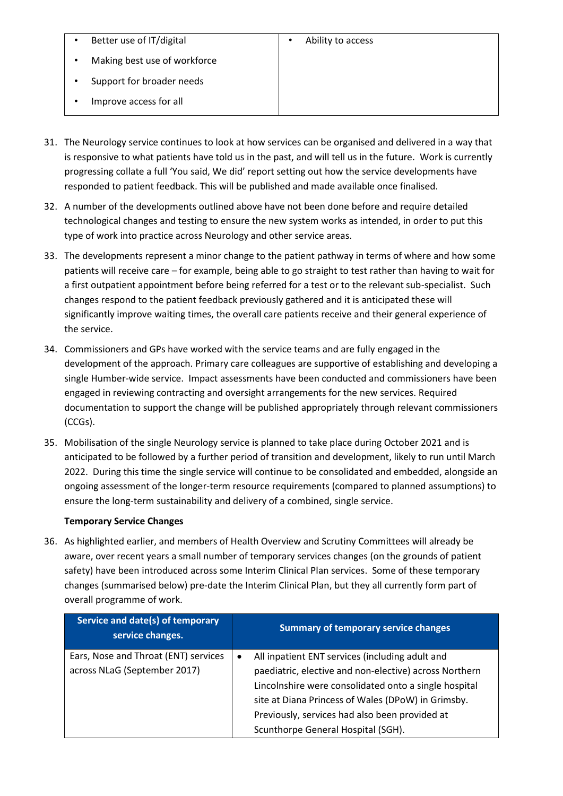| ٠ | Better use of IT/digital |
|---|--------------------------|
|---|--------------------------|

Support for broader needs

• Improve access for all

- 31. The Neurology service continues to look at how services can be organised and delivered in a way that is responsive to what patients have told us in the past, and will tell us in the future. Work is currently progressing collate a full 'You said, We did' report setting out how the service developments have responded to patient feedback. This will be published and made available once finalised.
- 32. A number of the developments outlined above have not been done before and require detailed technological changes and testing to ensure the new system works as intended, in order to put this type of work into practice across Neurology and other service areas.
- 33. The developments represent a minor change to the patient pathway in terms of where and how some patients will receive care – for example, being able to go straight to test rather than having to wait for a first outpatient appointment before being referred for a test or to the relevant sub-specialist. Such changes respond to the patient feedback previously gathered and it is anticipated these will significantly improve waiting times, the overall care patients receive and their general experience of the service.
- 34. Commissioners and GPs have worked with the service teams and are fully engaged in the development of the approach. Primary care colleagues are supportive of establishing and developing a single Humber-wide service. Impact assessments have been conducted and commissioners have been engaged in reviewing contracting and oversight arrangements for the new services. Required documentation to support the change will be published appropriately through relevant commissioners (CCGs).
- 35. Mobilisation of the single Neurology service is planned to take place during October 2021 and is anticipated to be followed by a further period of transition and development, likely to run until March 2022. During this time the single service will continue to be consolidated and embedded, alongside an ongoing assessment of the longer-term resource requirements (compared to planned assumptions) to ensure the long-term sustainability and delivery of a combined, single service.

### **Temporary Service Changes**

36. As highlighted earlier, and members of Health Overview and Scrutiny Committees will already be aware, over recent years a small number of temporary services changes (on the grounds of patient safety) have been introduced across some Interim Clinical Plan services. Some of these temporary changes (summarised below) pre-date the Interim Clinical Plan, but they all currently form part of overall programme of work.

| Service and date(s) of temporary<br>service changes. | <b>Summary of temporary service changes</b>                  |
|------------------------------------------------------|--------------------------------------------------------------|
| Ears, Nose and Throat (ENT) services                 | All inpatient ENT services (including adult and<br>$\bullet$ |
| across NLaG (September 2017)                         | paediatric, elective and non-elective) across Northern       |
|                                                      | Lincolnshire were consolidated onto a single hospital        |
|                                                      | site at Diana Princess of Wales (DPoW) in Grimsby.           |
|                                                      | Previously, services had also been provided at               |
|                                                      | Scunthorpe General Hospital (SGH).                           |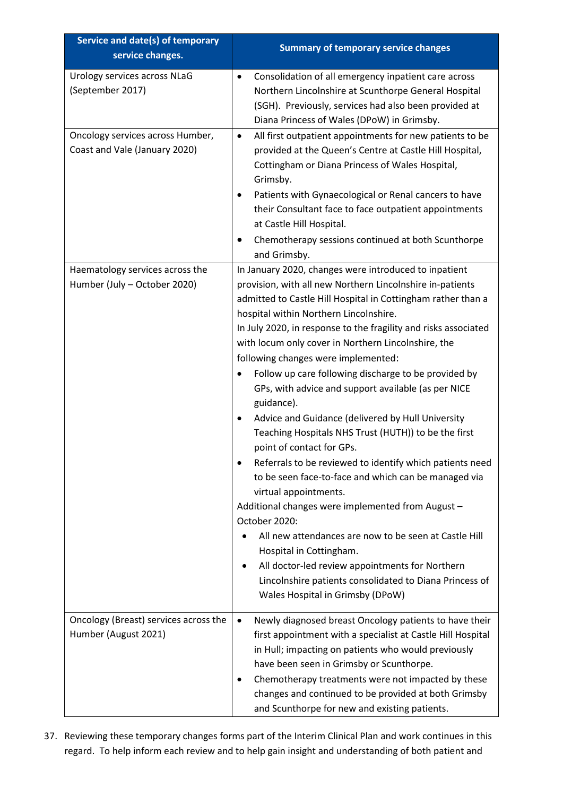| Service and date(s) of temporary<br>service changes.              | <b>Summary of temporary service changes</b>                                                                                                                                                                                                                                                                                                                                                                                                                                                                                                                                                                                                                                                                                                                                                                                                                                                                                                                                                                                                                                                                                             |
|-------------------------------------------------------------------|-----------------------------------------------------------------------------------------------------------------------------------------------------------------------------------------------------------------------------------------------------------------------------------------------------------------------------------------------------------------------------------------------------------------------------------------------------------------------------------------------------------------------------------------------------------------------------------------------------------------------------------------------------------------------------------------------------------------------------------------------------------------------------------------------------------------------------------------------------------------------------------------------------------------------------------------------------------------------------------------------------------------------------------------------------------------------------------------------------------------------------------------|
| Urology services across NLaG<br>(September 2017)                  | Consolidation of all emergency inpatient care across<br>$\bullet$<br>Northern Lincolnshire at Scunthorpe General Hospital<br>(SGH). Previously, services had also been provided at<br>Diana Princess of Wales (DPoW) in Grimsby.                                                                                                                                                                                                                                                                                                                                                                                                                                                                                                                                                                                                                                                                                                                                                                                                                                                                                                        |
| Oncology services across Humber,<br>Coast and Vale (January 2020) | All first outpatient appointments for new patients to be<br>$\bullet$<br>provided at the Queen's Centre at Castle Hill Hospital,<br>Cottingham or Diana Princess of Wales Hospital,<br>Grimsby.<br>Patients with Gynaecological or Renal cancers to have<br>their Consultant face to face outpatient appointments<br>at Castle Hill Hospital.<br>Chemotherapy sessions continued at both Scunthorpe<br>and Grimsby.                                                                                                                                                                                                                                                                                                                                                                                                                                                                                                                                                                                                                                                                                                                     |
| Haematology services across the<br>Humber (July - October 2020)   | In January 2020, changes were introduced to inpatient<br>provision, with all new Northern Lincolnshire in-patients<br>admitted to Castle Hill Hospital in Cottingham rather than a<br>hospital within Northern Lincolnshire.<br>In July 2020, in response to the fragility and risks associated<br>with locum only cover in Northern Lincolnshire, the<br>following changes were implemented:<br>Follow up care following discharge to be provided by<br>GPs, with advice and support available (as per NICE<br>guidance).<br>Advice and Guidance (delivered by Hull University<br>٠<br>Teaching Hospitals NHS Trust (HUTH)) to be the first<br>point of contact for GPs.<br>Referrals to be reviewed to identify which patients need<br>to be seen face-to-face and which can be managed via<br>virtual appointments.<br>Additional changes were implemented from August -<br>October 2020:<br>All new attendances are now to be seen at Castle Hill<br>Hospital in Cottingham.<br>All doctor-led review appointments for Northern<br>٠<br>Lincolnshire patients consolidated to Diana Princess of<br>Wales Hospital in Grimsby (DPoW) |
| Oncology (Breast) services across the<br>Humber (August 2021)     | Newly diagnosed breast Oncology patients to have their<br>$\bullet$<br>first appointment with a specialist at Castle Hill Hospital<br>in Hull; impacting on patients who would previously<br>have been seen in Grimsby or Scunthorpe.<br>Chemotherapy treatments were not impacted by these<br>changes and continued to be provided at both Grimsby<br>and Scunthorpe for new and existing patients.                                                                                                                                                                                                                                                                                                                                                                                                                                                                                                                                                                                                                                                                                                                                    |

37. Reviewing these temporary changes forms part of the Interim Clinical Plan and work continues in this regard. To help inform each review and to help gain insight and understanding of both patient and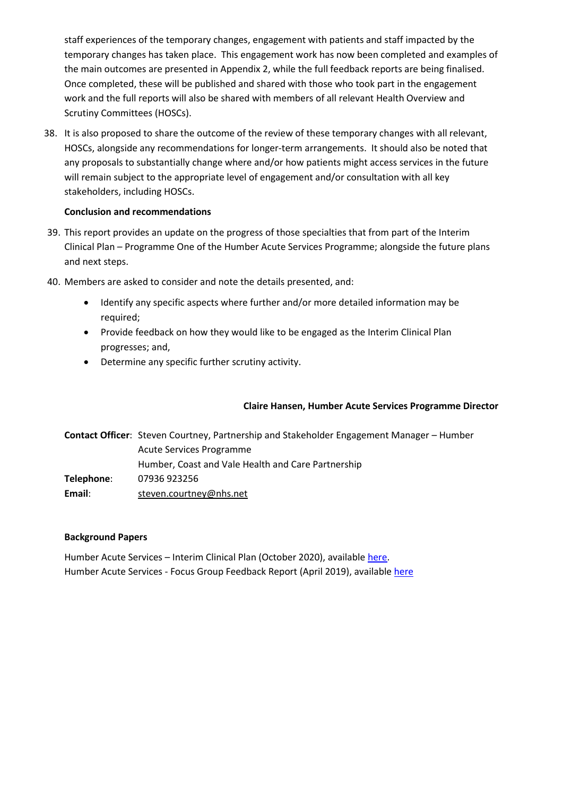staff experiences of the temporary changes, engagement with patients and staff impacted by the temporary changes has taken place. This engagement work has now been completed and examples of the main outcomes are presented in Appendix 2, while the full feedback reports are being finalised. Once completed, these will be published and shared with those who took part in the engagement work and the full reports will also be shared with members of all relevant Health Overview and Scrutiny Committees (HOSCs).

38. It is also proposed to share the outcome of the review of these temporary changes with all relevant, HOSCs, alongside any recommendations for longer-term arrangements. It should also be noted that any proposals to substantially change where and/or how patients might access services in the future will remain subject to the appropriate level of engagement and/or consultation with all key stakeholders, including HOSCs.

### **Conclusion and recommendations**

- 39. This report provides an update on the progress of those specialties that from part of the Interim Clinical Plan – Programme One of the Humber Acute Services Programme; alongside the future plans and next steps.
- 40. Members are asked to consider and note the details presented, and:
	- Identify any specific aspects where further and/or more detailed information may be required;
	- Provide feedback on how they would like to be engaged as the Interim Clinical Plan progresses; and,
	- Determine any specific further scrutiny activity.

### **Claire Hansen, Humber Acute Services Programme Director**

**Contact Officer**: Steven Courtney, Partnership and Stakeholder Engagement Manager – Humber Acute Services Programme Humber, Coast and Vale Health and Care Partnership **Telephone**: 07936 923256 **Email**: [steven.courtney@nhs.net](mailto:steven.courtney@nhs.net)

### **Background Papers**

Humber Acute Services – Interim Clinical Plan (October 2020), availabl[e here.](https://humbercoastandvale.org.uk/wp-content/uploads/2020/09/Interim-Clinical-Plan_summary_final-version.pdf) Humber Acute Services - Focus Group Feedback Report (April 2019), available [here](https://humbercoastandvale.org.uk/wp-content/uploads/2019/04/Focus-Groups-Feedback-Report_final.pdf)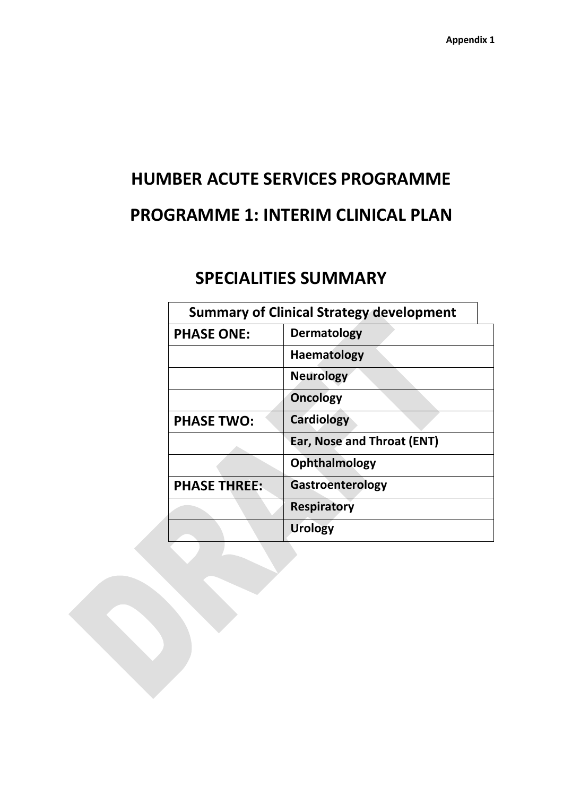# **HUMBER ACUTE SERVICES PROGRAMME PROGRAMME 1: INTERIM CLINICAL PLAN**

# **SPECIALITIES SUMMARY**

| <b>Summary of Clinical Strategy development</b> |                            |  |
|-------------------------------------------------|----------------------------|--|
| <b>PHASE ONE:</b>                               | <b>Dermatology</b>         |  |
|                                                 | <b>Haematology</b>         |  |
|                                                 | <b>Neurology</b>           |  |
|                                                 | <b>Oncology</b>            |  |
| <b>PHASE TWO:</b>                               | <b>Cardiology</b>          |  |
|                                                 | Ear, Nose and Throat (ENT) |  |
|                                                 | Ophthalmology              |  |
| <b>PHASE THREE:</b>                             | Gastroenterology           |  |
|                                                 | <b>Respiratory</b>         |  |
|                                                 | <b>Urology</b>             |  |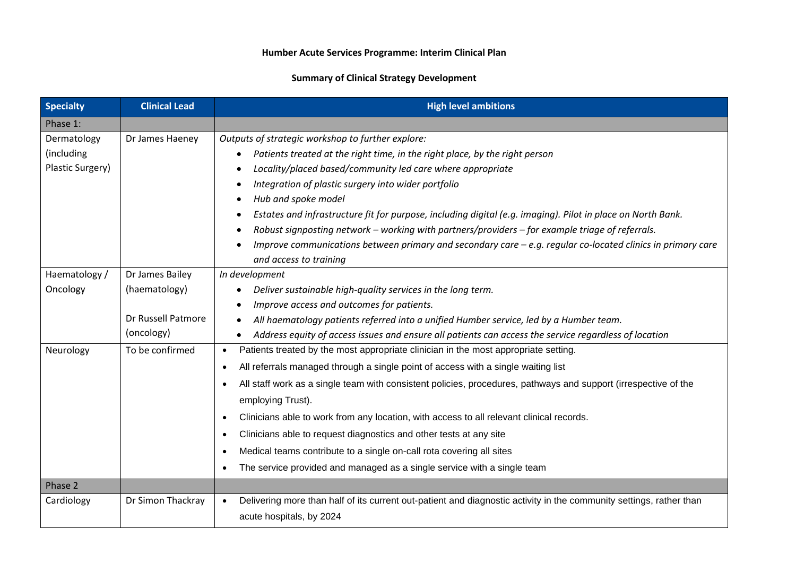### **Summary of Clinical Strategy Development**

| <b>Specialty</b> | <b>Clinical Lead</b> | <b>High level ambitions</b>                                                                                                      |  |
|------------------|----------------------|----------------------------------------------------------------------------------------------------------------------------------|--|
| Phase 1:         |                      |                                                                                                                                  |  |
| Dermatology      | Dr James Haeney      | Outputs of strategic workshop to further explore:                                                                                |  |
| (including       |                      | Patients treated at the right time, in the right place, by the right person<br>$\bullet$                                         |  |
| Plastic Surgery) |                      | Locality/placed based/community led care where appropriate                                                                       |  |
|                  |                      | Integration of plastic surgery into wider portfolio                                                                              |  |
|                  |                      | Hub and spoke model<br>$\bullet$                                                                                                 |  |
|                  |                      | Estates and infrastructure fit for purpose, including digital (e.g. imaging). Pilot in place on North Bank.<br>$\bullet$         |  |
|                  |                      | Robust signposting network – working with partners/providers – for example triage of referrals.                                  |  |
|                  |                      | Improve communications between primary and secondary care $-e.g.$ regular co-located clinics in primary care                     |  |
|                  |                      | and access to training                                                                                                           |  |
| Haematology /    | Dr James Bailey      | In development                                                                                                                   |  |
| Oncology         | (haematology)        | Deliver sustainable high-quality services in the long term.                                                                      |  |
|                  |                      | Improve access and outcomes for patients.<br>$\bullet$                                                                           |  |
|                  | Dr Russell Patmore   | All haematology patients referred into a unified Humber service, led by a Humber team.                                           |  |
|                  | (oncology)           | Address equity of access issues and ensure all patients can access the service regardless of location                            |  |
| Neurology        | To be confirmed      | Patients treated by the most appropriate clinician in the most appropriate setting.<br>$\bullet$                                 |  |
|                  |                      | All referrals managed through a single point of access with a single waiting list<br>$\bullet$                                   |  |
|                  |                      | All staff work as a single team with consistent policies, procedures, pathways and support (irrespective of the<br>$\bullet$     |  |
|                  |                      | employing Trust).                                                                                                                |  |
|                  |                      | Clinicians able to work from any location, with access to all relevant clinical records.<br>$\bullet$                            |  |
|                  |                      | Clinicians able to request diagnostics and other tests at any site<br>$\bullet$                                                  |  |
|                  |                      | Medical teams contribute to a single on-call rota covering all sites                                                             |  |
|                  |                      | The service provided and managed as a single service with a single team                                                          |  |
| Phase 2          |                      |                                                                                                                                  |  |
| Cardiology       | Dr Simon Thackray    | Delivering more than half of its current out-patient and diagnostic activity in the community settings, rather than<br>$\bullet$ |  |
|                  |                      | acute hospitals, by 2024                                                                                                         |  |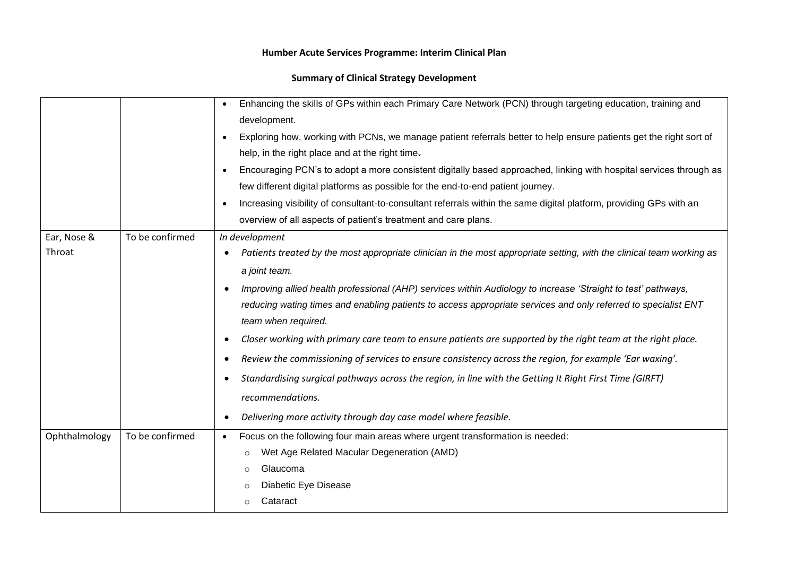### **Summary of Clinical Strategy Development**

|                       |                 | Enhancing the skills of GPs within each Primary Care Network (PCN) through targeting education, training and<br>development.<br>Exploring how, working with PCNs, we manage patient referrals better to help ensure patients get the right sort of<br>$\bullet$<br>help, in the right place and at the right time.<br>Encouraging PCN's to adopt a more consistent digitally based approached, linking with hospital services through as<br>few different digital platforms as possible for the end-to-end patient journey.<br>Increasing visibility of consultant-to-consultant referrals within the same digital platform, providing GPs with an<br>overview of all aspects of patient's treatment and care plans.                                                                                                                            |
|-----------------------|-----------------|-------------------------------------------------------------------------------------------------------------------------------------------------------------------------------------------------------------------------------------------------------------------------------------------------------------------------------------------------------------------------------------------------------------------------------------------------------------------------------------------------------------------------------------------------------------------------------------------------------------------------------------------------------------------------------------------------------------------------------------------------------------------------------------------------------------------------------------------------|
|                       |                 |                                                                                                                                                                                                                                                                                                                                                                                                                                                                                                                                                                                                                                                                                                                                                                                                                                                 |
| Ear, Nose &<br>Throat | To be confirmed | In development<br>Patients treated by the most appropriate clinician in the most appropriate setting, with the clinical team working as<br>a joint team.<br>Improving allied health professional (AHP) services within Audiology to increase 'Straight to test' pathways,<br>reducing wating times and enabling patients to access appropriate services and only referred to specialist ENT<br>team when required.<br>Closer working with primary care team to ensure patients are supported by the right team at the right place.<br>Review the commissioning of services to ensure consistency across the region, for example 'Ear waxing'.<br>Standardising surgical pathways across the region, in line with the Getting It Right First Time (GIRFT)<br>recommendations.<br>Delivering more activity through day case model where feasible. |
| Ophthalmology         | To be confirmed | Focus on the following four main areas where urgent transformation is needed:<br>Wet Age Related Macular Degeneration (AMD)<br>$\circ$<br>Glaucoma<br>$\circ$<br>Diabetic Eye Disease<br>Cataract<br>$\circ$                                                                                                                                                                                                                                                                                                                                                                                                                                                                                                                                                                                                                                    |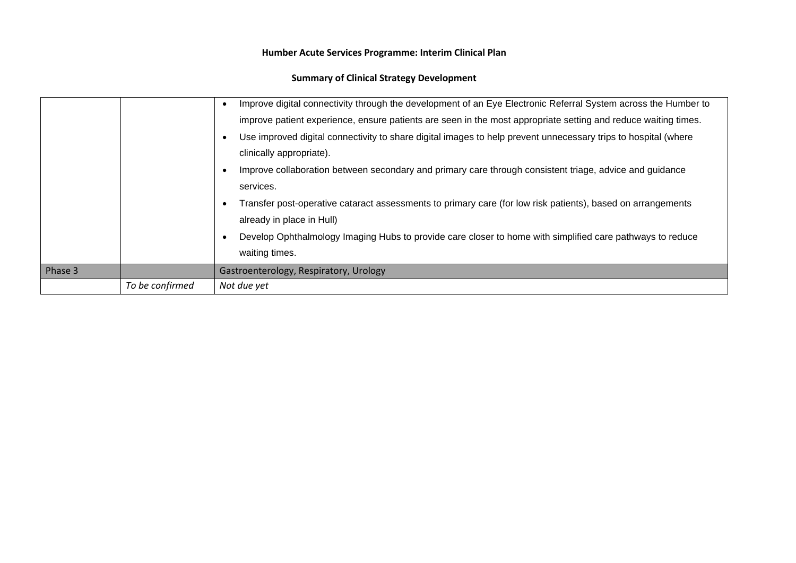### **Summary of Clinical Strategy Development**

|         |                 | Improve digital connectivity through the development of an Eye Electronic Referral System across the Humber to |
|---------|-----------------|----------------------------------------------------------------------------------------------------------------|
|         |                 | improve patient experience, ensure patients are seen in the most appropriate setting and reduce waiting times. |
|         |                 | Use improved digital connectivity to share digital images to help prevent unnecessary trips to hospital (where |
|         |                 | clinically appropriate).                                                                                       |
|         |                 | Improve collaboration between secondary and primary care through consistent triage, advice and guidance        |
|         |                 | services.                                                                                                      |
|         |                 | Transfer post-operative cataract assessments to primary care (for low risk patients), based on arrangements    |
|         |                 | already in place in Hull)                                                                                      |
|         |                 | Develop Ophthalmology Imaging Hubs to provide care closer to home with simplified care pathways to reduce      |
|         |                 | waiting times.                                                                                                 |
| Phase 3 |                 | Gastroenterology, Respiratory, Urology                                                                         |
|         | To be confirmed | Not due yet                                                                                                    |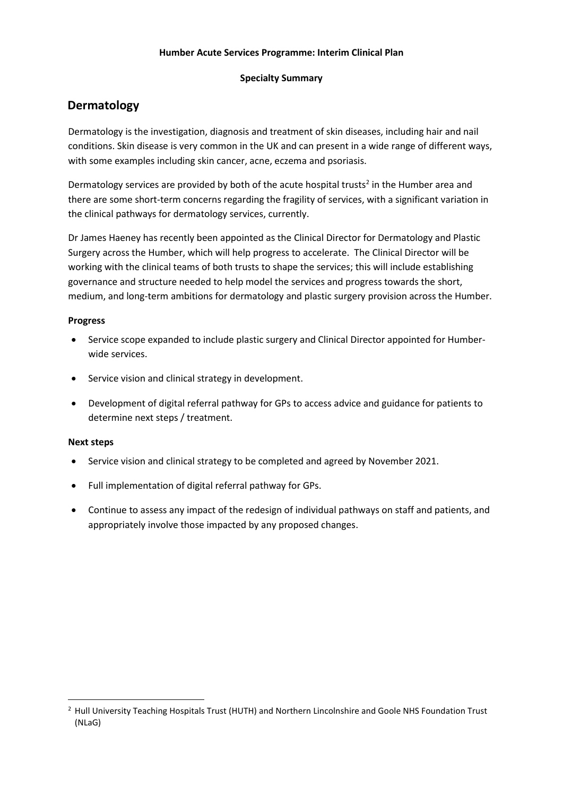### **Specialty Summary**

### **Dermatology**

Dermatology is the investigation, diagnosis and treatment of skin diseases, including hair and nail conditions. Skin disease is very common in the UK and can present in a wide range of different ways, with some examples including skin cancer, acne, eczema and psoriasis.

Dermatology services are provided by both of the acute hospital trusts<sup>2</sup> in the Humber area and there are some short-term concerns regarding the fragility of services, with a significant variation in the clinical pathways for dermatology services, currently.

Dr James Haeney has recently been appointed as the Clinical Director for Dermatology and Plastic Surgery across the Humber, which will help progress to accelerate. The Clinical Director will be working with the clinical teams of both trusts to shape the services; this will include establishing governance and structure needed to help model the services and progress towards the short, medium, and long-term ambitions for dermatology and plastic surgery provision across the Humber.

### **Progress**

- Service scope expanded to include plastic surgery and Clinical Director appointed for Humberwide services.
- Service vision and clinical strategy in development.
- Development of digital referral pathway for GPs to access advice and guidance for patients to determine next steps / treatment.

- Service vision and clinical strategy to be completed and agreed by November 2021.
- Full implementation of digital referral pathway for GPs.
- Continue to assess any impact of the redesign of individual pathways on staff and patients, and appropriately involve those impacted by any proposed changes.

<sup>&</sup>lt;sup>2</sup> Hull University Teaching Hospitals Trust (HUTH) and Northern Lincolnshire and Goole NHS Foundation Trust (NLaG)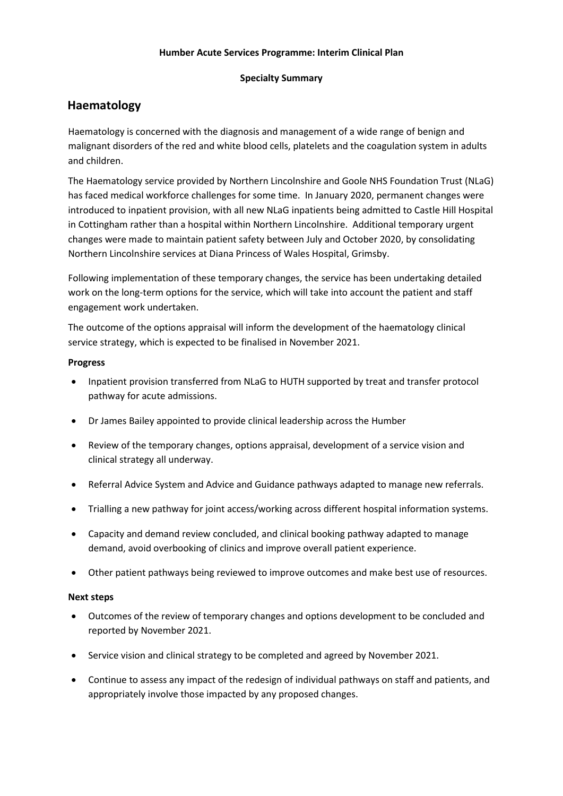### **Specialty Summary**

### **Haematology**

Haematology is concerned with the diagnosis and management of a wide range of benign and malignant disorders of the red and white blood cells, platelets and the coagulation system in adults and children.

The Haematology service provided by Northern Lincolnshire and Goole NHS Foundation Trust (NLaG) has faced medical workforce challenges for some time. In January 2020, permanent changes were introduced to inpatient provision, with all new NLaG inpatients being admitted to Castle Hill Hospital in Cottingham rather than a hospital within Northern Lincolnshire. Additional temporary urgent changes were made to maintain patient safety between July and October 2020, by consolidating Northern Lincolnshire services at Diana Princess of Wales Hospital, Grimsby.

Following implementation of these temporary changes, the service has been undertaking detailed work on the long-term options for the service, which will take into account the patient and staff engagement work undertaken.

The outcome of the options appraisal will inform the development of the haematology clinical service strategy, which is expected to be finalised in November 2021.

### **Progress**

- Inpatient provision transferred from NLaG to HUTH supported by treat and transfer protocol pathway for acute admissions.
- Dr James Bailey appointed to provide clinical leadership across the Humber
- Review of the temporary changes, options appraisal, development of a service vision and clinical strategy all underway.
- Referral Advice System and Advice and Guidance pathways adapted to manage new referrals.
- Trialling a new pathway for joint access/working across different hospital information systems.
- Capacity and demand review concluded, and clinical booking pathway adapted to manage demand, avoid overbooking of clinics and improve overall patient experience.
- Other patient pathways being reviewed to improve outcomes and make best use of resources.

- Outcomes of the review of temporary changes and options development to be concluded and reported by November 2021.
- Service vision and clinical strategy to be completed and agreed by November 2021.
- Continue to assess any impact of the redesign of individual pathways on staff and patients, and appropriately involve those impacted by any proposed changes.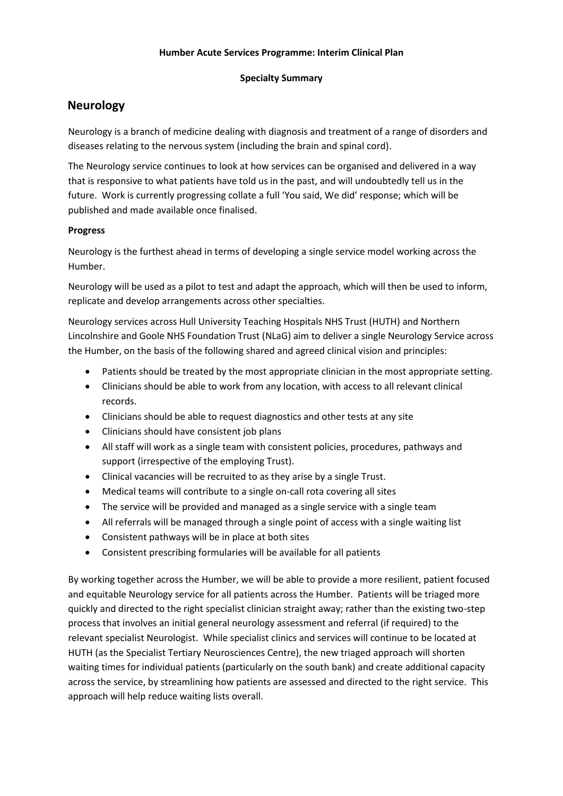### **Specialty Summary**

### **Neurology**

Neurology is a branch of medicine dealing with diagnosis and treatment of a range of disorders and diseases relating to the nervous system (including the brain and spinal cord).

The Neurology service continues to look at how services can be organised and delivered in a way that is responsive to what patients have told us in the past, and will undoubtedly tell us in the future. Work is currently progressing collate a full 'You said, We did' response; which will be published and made available once finalised.

### **Progress**

Neurology is the furthest ahead in terms of developing a single service model working across the Humber.

Neurology will be used as a pilot to test and adapt the approach, which will then be used to inform, replicate and develop arrangements across other specialties.

Neurology services across Hull University Teaching Hospitals NHS Trust (HUTH) and Northern Lincolnshire and Goole NHS Foundation Trust (NLaG) aim to deliver a single Neurology Service across the Humber, on the basis of the following shared and agreed clinical vision and principles:

- Patients should be treated by the most appropriate clinician in the most appropriate setting.
- Clinicians should be able to work from any location, with access to all relevant clinical records.
- Clinicians should be able to request diagnostics and other tests at any site
- Clinicians should have consistent job plans
- All staff will work as a single team with consistent policies, procedures, pathways and support (irrespective of the employing Trust).
- Clinical vacancies will be recruited to as they arise by a single Trust.
- Medical teams will contribute to a single on-call rota covering all sites
- The service will be provided and managed as a single service with a single team
- All referrals will be managed through a single point of access with a single waiting list
- Consistent pathways will be in place at both sites
- Consistent prescribing formularies will be available for all patients

By working together across the Humber, we will be able to provide a more resilient, patient focused and equitable Neurology service for all patients across the Humber. Patients will be triaged more quickly and directed to the right specialist clinician straight away; rather than the existing two-step process that involves an initial general neurology assessment and referral (if required) to the relevant specialist Neurologist. While specialist clinics and services will continue to be located at HUTH (as the Specialist Tertiary Neurosciences Centre), the new triaged approach will shorten waiting times for individual patients (particularly on the south bank) and create additional capacity across the service, by streamlining how patients are assessed and directed to the right service. This approach will help reduce waiting lists overall.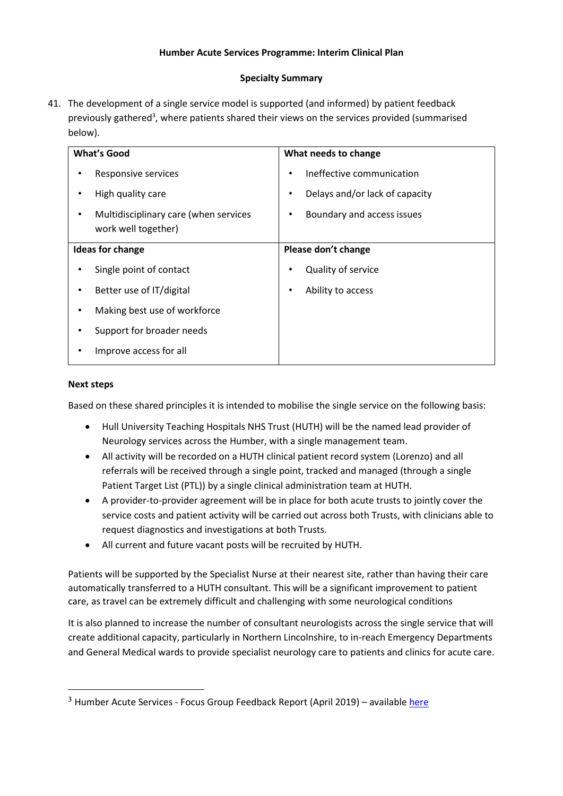### **Specialty Summary**

41. The development of a single service model is supported (and informed) by patient feedback previously gathered<sup>3</sup>, where patients shared their views on the services provided (summarised below).

|   | <b>What's Good</b>                                           |   | What needs to change           |
|---|--------------------------------------------------------------|---|--------------------------------|
|   | Responsive services                                          |   | Ineffective communication      |
|   | High quality care                                            | ٠ | Delays and/or lack of capacity |
|   | Multidisciplinary care (when services<br>work well together) |   | Boundary and access issues     |
|   | <b>Ideas for change</b>                                      |   | Please don't change            |
|   | Single point of contact                                      |   | Quality of service             |
|   | Better use of IT/digital                                     |   | Ability to access              |
| ٠ | Making best use of workforce                                 |   |                                |
|   | Support for broader needs                                    |   |                                |
|   | Improve access for all                                       |   |                                |

### **Next steps**

Based on these shared principles it is intended to mobilise the single service on the following basis:

- Hull University Teaching Hospitals NHS Trust (HUTH) will be the named lead provider of Neurology services across the Humber, with a single management team.
- All activity will be recorded on a HUTH clinical patient record system (Lorenzo) and all referrals will be received through a single point, tracked and managed (through a single Patient Target List (PTL)) by a single clinical administration team at HUTH.
- A provider-to-provider agreement will be in place for both acute trusts to jointly cover the service costs and patient activity will be carried out across both Trusts, with clinicians able to request diagnostics and investigations at both Trusts.
- All current and future vacant posts will be recruited by HUTH.

Patients will be supported by the Specialist Nurse at their nearest site, rather than having their care automatically transferred to a HUTH consultant. This will be a significant improvement to patient care, as travel can be extremely difficult and challenging with some neurological conditions

It is also planned to increase the number of consultant neurologists across the single service that will create additional capacity, particularly in Northern Lincolnshire, to in-reach Emergency Departments and General Medical wards to provide specialist neurology care to patients and clinics for acute care.

<sup>&</sup>lt;sup>3</sup> Humber Acute Services - Focus Group Feedback Report (April 2019) – availabl[e here](https://humbercoastandvale.org.uk/wp-content/uploads/2019/04/Focus-Groups-Feedback-Report_final.pdf)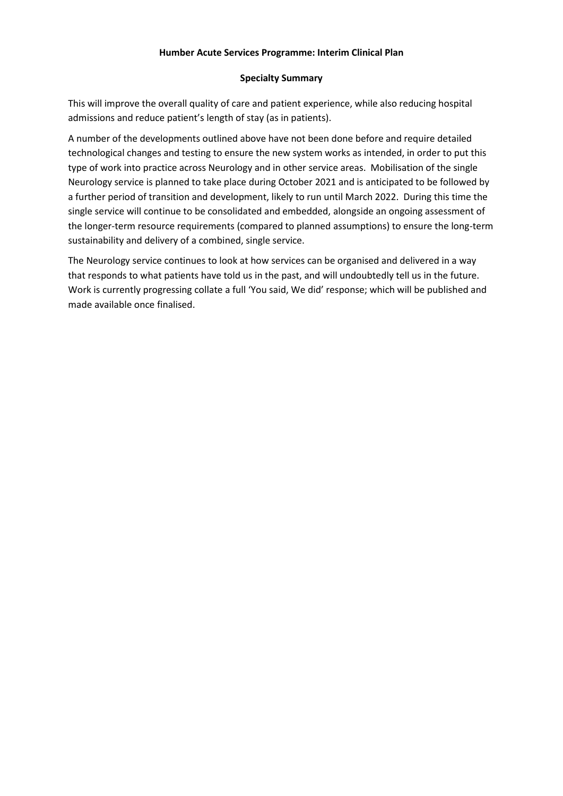### **Specialty Summary**

This will improve the overall quality of care and patient experience, while also reducing hospital admissions and reduce patient's length of stay (as in patients).

A number of the developments outlined above have not been done before and require detailed technological changes and testing to ensure the new system works as intended, in order to put this type of work into practice across Neurology and in other service areas. Mobilisation of the single Neurology service is planned to take place during October 2021 and is anticipated to be followed by a further period of transition and development, likely to run until March 2022. During this time the single service will continue to be consolidated and embedded, alongside an ongoing assessment of the longer-term resource requirements (compared to planned assumptions) to ensure the long-term sustainability and delivery of a combined, single service.

The Neurology service continues to look at how services can be organised and delivered in a way that responds to what patients have told us in the past, and will undoubtedly tell us in the future. Work is currently progressing collate a full 'You said, We did' response; which will be published and made available once finalised.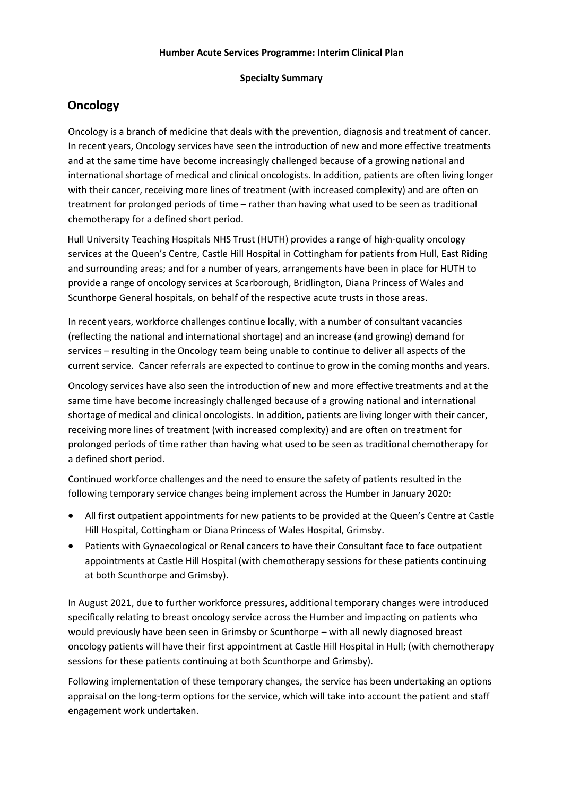### **Specialty Summary**

### **Oncology**

Oncology is a branch of medicine that deals with the prevention, diagnosis and treatment of cancer. In recent years, Oncology services have seen the introduction of new and more effective treatments and at the same time have become increasingly challenged because of a growing national and international shortage of medical and clinical oncologists. In addition, patients are often living longer with their cancer, receiving more lines of treatment (with increased complexity) and are often on treatment for prolonged periods of time – rather than having what used to be seen as traditional chemotherapy for a defined short period.

Hull University Teaching Hospitals NHS Trust (HUTH) provides a range of high-quality oncology services at the Queen's Centre, Castle Hill Hospital in Cottingham for patients from Hull, East Riding and surrounding areas; and for a number of years, arrangements have been in place for HUTH to provide a range of oncology services at Scarborough, Bridlington, Diana Princess of Wales and Scunthorpe General hospitals, on behalf of the respective acute trusts in those areas.

In recent years, workforce challenges continue locally, with a number of consultant vacancies (reflecting the national and international shortage) and an increase (and growing) demand for services – resulting in the Oncology team being unable to continue to deliver all aspects of the current service. Cancer referrals are expected to continue to grow in the coming months and years.

Oncology services have also seen the introduction of new and more effective treatments and at the same time have become increasingly challenged because of a growing national and international shortage of medical and clinical oncologists. In addition, patients are living longer with their cancer, receiving more lines of treatment (with increased complexity) and are often on treatment for prolonged periods of time rather than having what used to be seen as traditional chemotherapy for a defined short period.

Continued workforce challenges and the need to ensure the safety of patients resulted in the following temporary service changes being implement across the Humber in January 2020:

- All first outpatient appointments for new patients to be provided at the Queen's Centre at Castle Hill Hospital, Cottingham or Diana Princess of Wales Hospital, Grimsby.
- Patients with Gynaecological or Renal cancers to have their Consultant face to face outpatient appointments at Castle Hill Hospital (with chemotherapy sessions for these patients continuing at both Scunthorpe and Grimsby).

In August 2021, due to further workforce pressures, additional temporary changes were introduced specifically relating to breast oncology service across the Humber and impacting on patients who would previously have been seen in Grimsby or Scunthorpe – with all newly diagnosed breast oncology patients will have their first appointment at Castle Hill Hospital in Hull; (with chemotherapy sessions for these patients continuing at both Scunthorpe and Grimsby).

Following implementation of these temporary changes, the service has been undertaking an options appraisal on the long-term options for the service, which will take into account the patient and staff engagement work undertaken.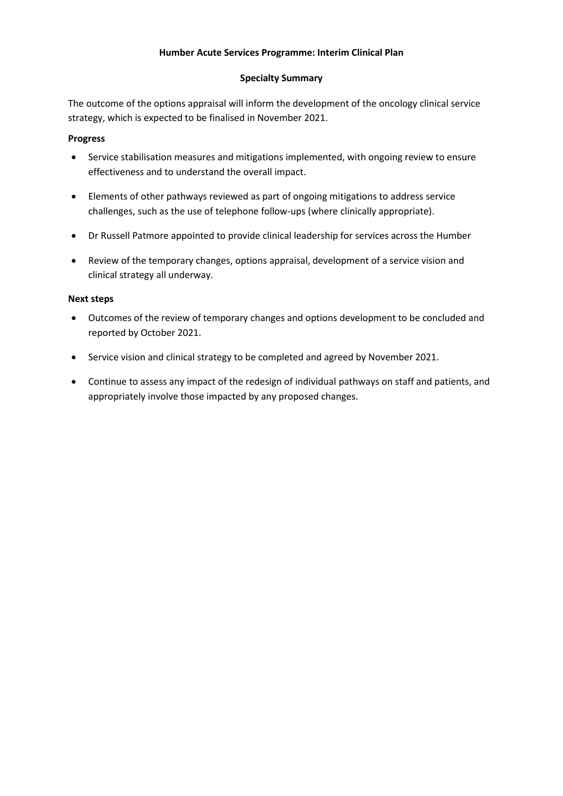### **Specialty Summary**

The outcome of the options appraisal will inform the development of the oncology clinical service strategy, which is expected to be finalised in November 2021.

### **Progress**

- Service stabilisation measures and mitigations implemented, with ongoing review to ensure effectiveness and to understand the overall impact.
- Elements of other pathways reviewed as part of ongoing mitigations to address service challenges, such as the use of telephone follow-ups (where clinically appropriate).
- Dr Russell Patmore appointed to provide clinical leadership for services across the Humber
- Review of the temporary changes, options appraisal, development of a service vision and clinical strategy all underway.

- Outcomes of the review of temporary changes and options development to be concluded and reported by October 2021.
- Service vision and clinical strategy to be completed and agreed by November 2021.
- Continue to assess any impact of the redesign of individual pathways on staff and patients, and appropriately involve those impacted by any proposed changes.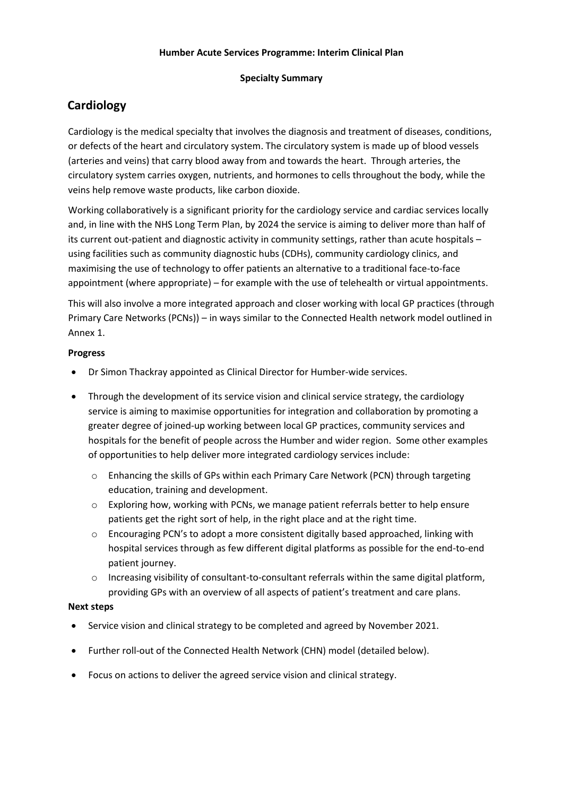### **Specialty Summary**

### **Cardiology**

Cardiology is the medical specialty that involves the diagnosis and treatment of diseases, conditions, or defects of the heart and circulatory system. The circulatory system is made up of blood vessels (arteries and veins) that carry blood away from and towards the heart. Through arteries, the circulatory system carries oxygen, nutrients, and hormones to cells throughout the body, while the veins help remove waste products, like carbon dioxide.

Working collaboratively is a significant priority for the cardiology service and cardiac services locally and, in line with the NHS Long Term Plan, by 2024 the service is aiming to deliver more than half of its current out-patient and diagnostic activity in community settings, rather than acute hospitals – using facilities such as community diagnostic hubs (CDHs), community cardiology clinics, and maximising the use of technology to offer patients an alternative to a traditional face-to-face appointment (where appropriate) – for example with the use of telehealth or virtual appointments.

This will also involve a more integrated approach and closer working with local GP practices (through Primary Care Networks (PCNs)) – in ways similar to the Connected Health network model outlined in Annex 1.

### **Progress**

- Dr Simon Thackray appointed as Clinical Director for Humber-wide services.
- Through the development of its service vision and clinical service strategy, the cardiology service is aiming to maximise opportunities for integration and collaboration by promoting a greater degree of joined-up working between local GP practices, community services and hospitals for the benefit of people across the Humber and wider region. Some other examples of opportunities to help deliver more integrated cardiology services include:
	- o Enhancing the skills of GPs within each Primary Care Network (PCN) through targeting education, training and development.
	- o Exploring how, working with PCNs, we manage patient referrals better to help ensure patients get the right sort of help, in the right place and at the right time.
	- $\circ$  Encouraging PCN's to adopt a more consistent digitally based approached, linking with hospital services through as few different digital platforms as possible for the end-to-end patient journey.
	- o Increasing visibility of consultant-to-consultant referrals within the same digital platform, providing GPs with an overview of all aspects of patient's treatment and care plans.

- Service vision and clinical strategy to be completed and agreed by November 2021.
- Further roll-out of the Connected Health Network (CHN) model (detailed below).
- Focus on actions to deliver the agreed service vision and clinical strategy.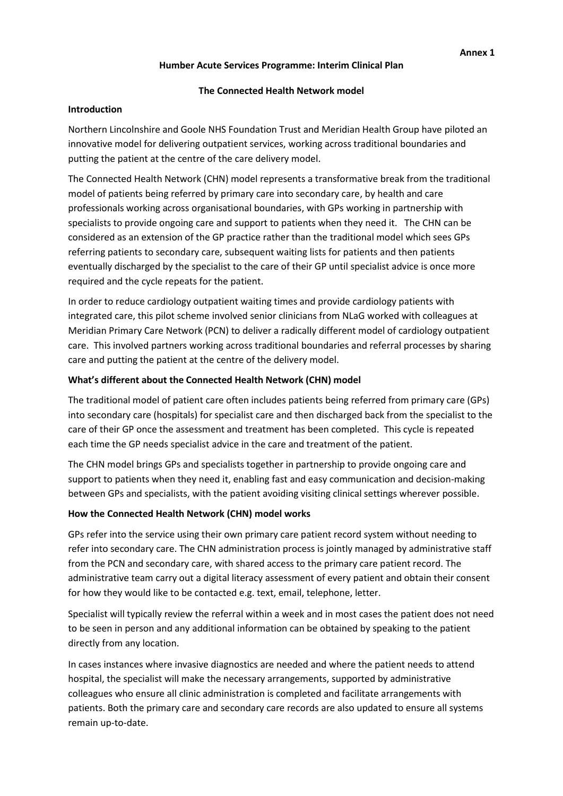#### **The Connected Health Network model**

#### **Introduction**

Northern Lincolnshire and Goole NHS Foundation Trust and Meridian Health Group have piloted an innovative model for delivering outpatient services, working across traditional boundaries and putting the patient at the centre of the care delivery model.

The Connected Health Network (CHN) model represents a transformative break from the traditional model of patients being referred by primary care into secondary care, by health and care professionals working across organisational boundaries, with GPs working in partnership with specialists to provide ongoing care and support to patients when they need it. The CHN can be considered as an extension of the GP practice rather than the traditional model which sees GPs referring patients to secondary care, subsequent waiting lists for patients and then patients eventually discharged by the specialist to the care of their GP until specialist advice is once more required and the cycle repeats for the patient.

In order to reduce cardiology outpatient waiting times and provide cardiology patients with integrated care, this pilot scheme involved senior clinicians from NLaG worked with colleagues at Meridian Primary Care Network (PCN) to deliver a radically different model of cardiology outpatient care. This involved partners working across traditional boundaries and referral processes by sharing care and putting the patient at the centre of the delivery model.

### **What's different about the Connected Health Network (CHN) model**

The traditional model of patient care often includes patients being referred from primary care (GPs) into secondary care (hospitals) for specialist care and then discharged back from the specialist to the care of their GP once the assessment and treatment has been completed. This cycle is repeated each time the GP needs specialist advice in the care and treatment of the patient.

The CHN model brings GPs and specialists together in partnership to provide ongoing care and support to patients when they need it, enabling fast and easy communication and decision-making between GPs and specialists, with the patient avoiding visiting clinical settings wherever possible.

### **How the Connected Health Network (CHN) model works**

GPs refer into the service using their own primary care patient record system without needing to refer into secondary care. The CHN administration process is jointly managed by administrative staff from the PCN and secondary care, with shared access to the primary care patient record. The administrative team carry out a digital literacy assessment of every patient and obtain their consent for how they would like to be contacted e.g. text, email, telephone, letter.

Specialist will typically review the referral within a week and in most cases the patient does not need to be seen in person and any additional information can be obtained by speaking to the patient directly from any location.

In cases instances where invasive diagnostics are needed and where the patient needs to attend hospital, the specialist will make the necessary arrangements, supported by administrative colleagues who ensure all clinic administration is completed and facilitate arrangements with patients. Both the primary care and secondary care records are also updated to ensure all systems remain up-to-date.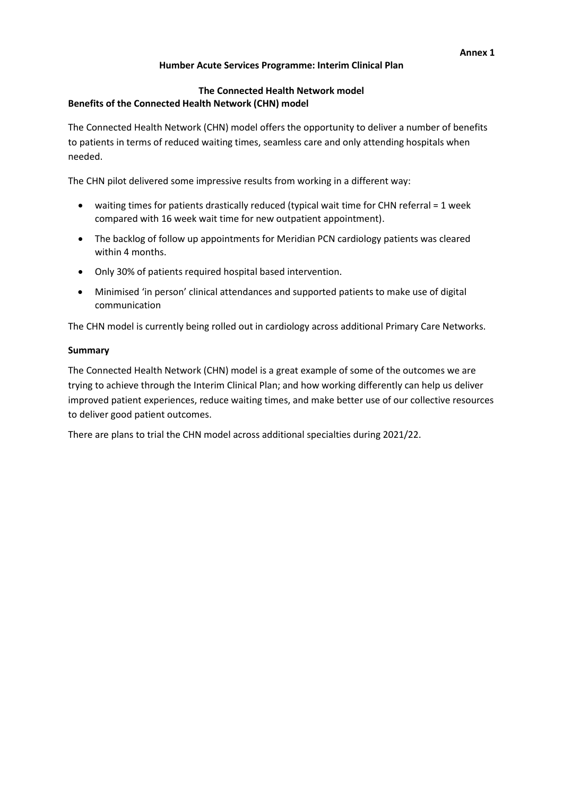### **The Connected Health Network model Benefits of the Connected Health Network (CHN) model**

The Connected Health Network (CHN) model offers the opportunity to deliver a number of benefits to patients in terms of reduced waiting times, seamless care and only attending hospitals when needed.

The CHN pilot delivered some impressive results from working in a different way:

- waiting times for patients drastically reduced (typical wait time for CHN referral = 1 week compared with 16 week wait time for new outpatient appointment).
- The backlog of follow up appointments for Meridian PCN cardiology patients was cleared within 4 months.
- Only 30% of patients required hospital based intervention.
- Minimised 'in person' clinical attendances and supported patients to make use of digital communication

The CHN model is currently being rolled out in cardiology across additional Primary Care Networks.

### **Summary**

The Connected Health Network (CHN) model is a great example of some of the outcomes we are trying to achieve through the Interim Clinical Plan; and how working differently can help us deliver improved patient experiences, reduce waiting times, and make better use of our collective resources to deliver good patient outcomes.

There are plans to trial the CHN model across additional specialties during 2021/22.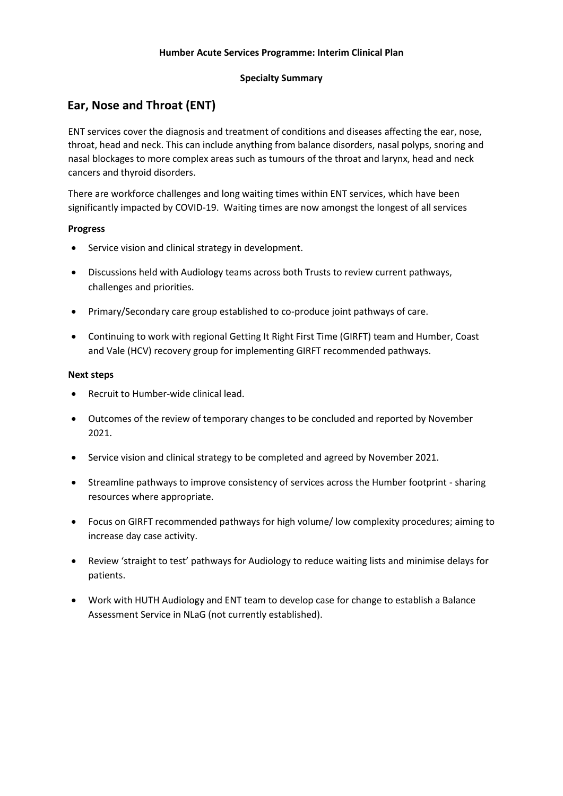### **Specialty Summary**

### **Ear, Nose and Throat (ENT)**

ENT services cover the diagnosis and treatment of conditions and diseases affecting the ear, nose, throat, head and neck. This can include anything from balance disorders, nasal polyps, snoring and nasal blockages to more complex areas such as tumours of the throat and larynx, head and neck cancers and thyroid disorders.

There are workforce challenges and long waiting times within ENT services, which have been significantly impacted by COVID-19. Waiting times are now amongst the longest of all services

### **Progress**

- Service vision and clinical strategy in development.
- Discussions held with Audiology teams across both Trusts to review current pathways, challenges and priorities.
- Primary/Secondary care group established to co-produce joint pathways of care.
- Continuing to work with regional Getting It Right First Time (GIRFT) team and Humber, Coast and Vale (HCV) recovery group for implementing GIRFT recommended pathways.

- Recruit to Humber-wide clinical lead.
- Outcomes of the review of temporary changes to be concluded and reported by November 2021.
- Service vision and clinical strategy to be completed and agreed by November 2021.
- Streamline pathways to improve consistency of services across the Humber footprint sharing resources where appropriate.
- Focus on GIRFT recommended pathways for high volume/ low complexity procedures; aiming to increase day case activity.
- Review 'straight to test' pathways for Audiology to reduce waiting lists and minimise delays for patients.
- Work with HUTH Audiology and ENT team to develop case for change to establish a Balance Assessment Service in NLaG (not currently established).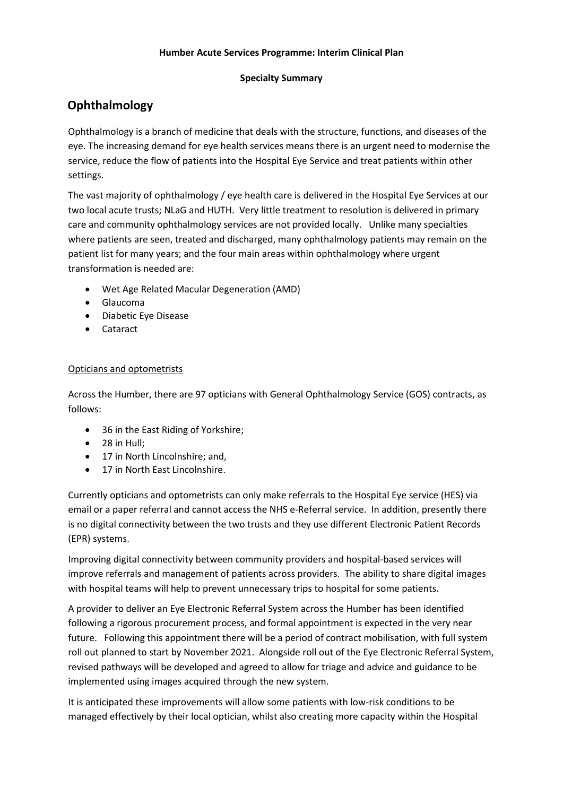### **Specialty Summary**

### **Ophthalmology**

Ophthalmology is a branch of medicine that deals with the structure, functions, and diseases of the eye. The increasing demand for eye health services means there is an urgent need to modernise the service, reduce the flow of patients into the Hospital Eye Service and treat patients within other settings.

The vast majority of ophthalmology / eye health care is delivered in the Hospital Eye Services at our two local acute trusts; NLaG and HUTH. Very little treatment to resolution is delivered in primary care and community ophthalmology services are not provided locally. Unlike many specialties where patients are seen, treated and discharged, many ophthalmology patients may remain on the patient list for many years; and the four main areas within ophthalmology where urgent transformation is needed are:

- Wet Age Related Macular Degeneration (AMD)
- Glaucoma
- Diabetic Eye Disease
- Cataract

### Opticians and optometrists

Across the Humber, there are 97 opticians with General Ophthalmology Service (GOS) contracts, as follows:

- 36 in the East Riding of Yorkshire:
- 28 in Hull;
- 17 in North Lincolnshire: and.
- 17 in North East Lincolnshire.

Currently opticians and optometrists can only make referrals to the Hospital Eye service (HES) via email or a paper referral and cannot access the NHS e-Referral service. In addition, presently there is no digital connectivity between the two trusts and they use different Electronic Patient Records (EPR) systems.

Improving digital connectivity between community providers and hospital-based services will improve referrals and management of patients across providers. The ability to share digital images with hospital teams will help to prevent unnecessary trips to hospital for some patients.

A provider to deliver an Eye Electronic Referral System across the Humber has been identified following a rigorous procurement process, and formal appointment is expected in the very near future. Following this appointment there will be a period of contract mobilisation, with full system roll out planned to start by November 2021. Alongside roll out of the Eye Electronic Referral System, revised pathways will be developed and agreed to allow for triage and advice and guidance to be implemented using images acquired through the new system.

It is anticipated these improvements will allow some patients with low-risk conditions to be managed effectively by their local optician, whilst also creating more capacity within the Hospital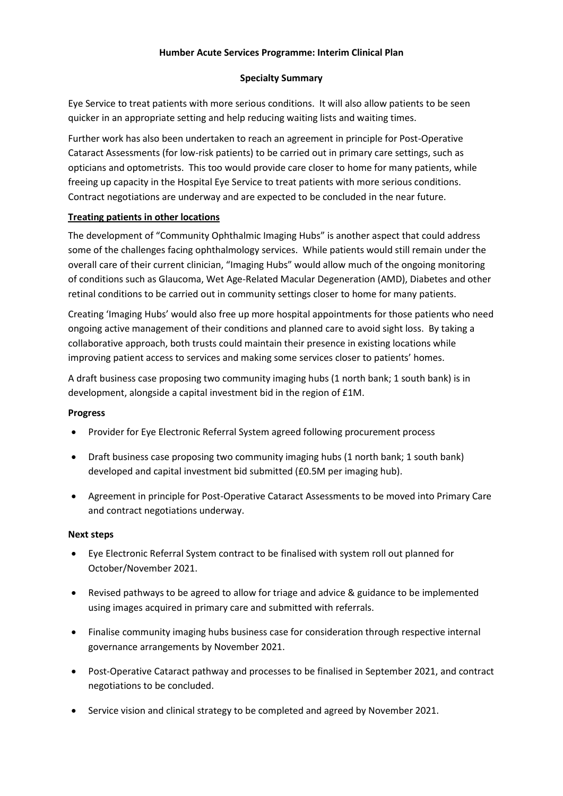### **Specialty Summary**

Eye Service to treat patients with more serious conditions. It will also allow patients to be seen quicker in an appropriate setting and help reducing waiting lists and waiting times.

Further work has also been undertaken to reach an agreement in principle for Post-Operative Cataract Assessments (for low-risk patients) to be carried out in primary care settings, such as opticians and optometrists. This too would provide care closer to home for many patients, while freeing up capacity in the Hospital Eye Service to treat patients with more serious conditions. Contract negotiations are underway and are expected to be concluded in the near future.

### **Treating patients in other locations**

The development of "Community Ophthalmic Imaging Hubs" is another aspect that could address some of the challenges facing ophthalmology services. While patients would still remain under the overall care of their current clinician, "Imaging Hubs" would allow much of the ongoing monitoring of conditions such as Glaucoma, Wet Age-Related Macular Degeneration (AMD), Diabetes and other retinal conditions to be carried out in community settings closer to home for many patients.

Creating 'Imaging Hubs' would also free up more hospital appointments for those patients who need ongoing active management of their conditions and planned care to avoid sight loss. By taking a collaborative approach, both trusts could maintain their presence in existing locations while improving patient access to services and making some services closer to patients' homes.

A draft business case proposing two community imaging hubs (1 north bank; 1 south bank) is in development, alongside a capital investment bid in the region of £1M.

### **Progress**

- Provider for Eye Electronic Referral System agreed following procurement process
- Draft business case proposing two community imaging hubs (1 north bank; 1 south bank) developed and capital investment bid submitted (£0.5M per imaging hub).
- Agreement in principle for Post-Operative Cataract Assessments to be moved into Primary Care and contract negotiations underway.

- Eye Electronic Referral System contract to be finalised with system roll out planned for October/November 2021.
- Revised pathways to be agreed to allow for triage and advice & guidance to be implemented using images acquired in primary care and submitted with referrals.
- Finalise community imaging hubs business case for consideration through respective internal governance arrangements by November 2021.
- Post-Operative Cataract pathway and processes to be finalised in September 2021, and contract negotiations to be concluded.
- Service vision and clinical strategy to be completed and agreed by November 2021.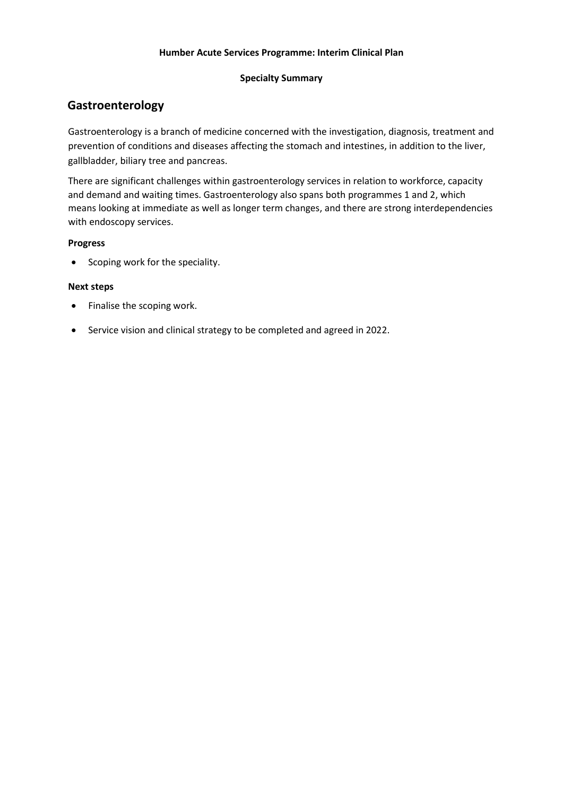### **Specialty Summary**

### **Gastroenterology**

Gastroenterology is a branch of medicine concerned with the investigation, diagnosis, treatment and prevention of conditions and diseases affecting the stomach and intestines, in addition to the liver, gallbladder, biliary tree and pancreas.

There are significant challenges within gastroenterology services in relation to workforce, capacity and demand and waiting times. Gastroenterology also spans both programmes 1 and 2, which means looking at immediate as well as longer term changes, and there are strong interdependencies with endoscopy services.

### **Progress**

• Scoping work for the speciality.

- Finalise the scoping work.
- Service vision and clinical strategy to be completed and agreed in 2022.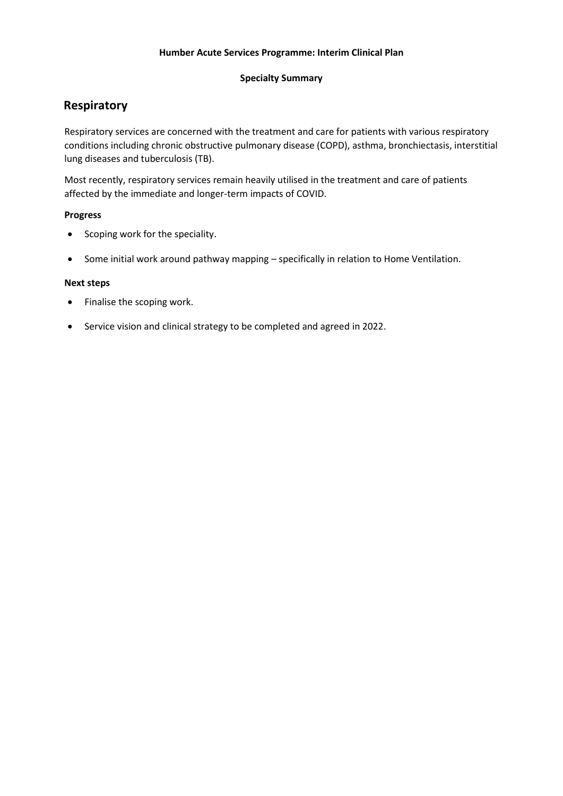### **Specialty Summary**

### **Respiratory**

Respiratory services are concerned with the treatment and care for patients with various respiratory conditions including chronic obstructive pulmonary disease (COPD), asthma, bronchiectasis, interstitial lung diseases and tuberculosis (TB).

Most recently, respiratory services remain heavily utilised in the treatment and care of patients affected by the immediate and longer-term impacts of COVID.

### **Progress**

- Scoping work for the speciality.
- Some initial work around pathway mapping specifically in relation to Home Ventilation.

- Finalise the scoping work.
- Service vision and clinical strategy to be completed and agreed in 2022.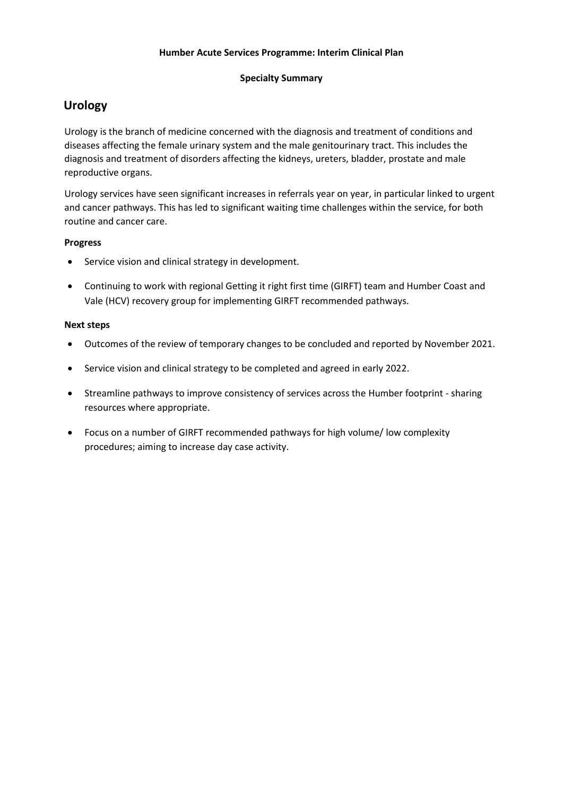### **Specialty Summary**

### **Urology**

Urology is the branch of medicine concerned with the diagnosis and treatment of conditions and diseases affecting the female urinary system and the male genitourinary tract. This includes the diagnosis and treatment of disorders affecting the kidneys, ureters, bladder, prostate and male reproductive organs.

Urology services have seen significant increases in referrals year on year, in particular linked to urgent and cancer pathways. This has led to significant waiting time challenges within the service, for both routine and cancer care.

### **Progress**

- Service vision and clinical strategy in development.
- Continuing to work with regional Getting it right first time (GIRFT) team and Humber Coast and Vale (HCV) recovery group for implementing GIRFT recommended pathways.

- Outcomes of the review of temporary changes to be concluded and reported by November 2021.
- Service vision and clinical strategy to be completed and agreed in early 2022.
- Streamline pathways to improve consistency of services across the Humber footprint sharing resources where appropriate.
- Focus on a number of GIRFT recommended pathways for high volume/ low complexity procedures; aiming to increase day case activity.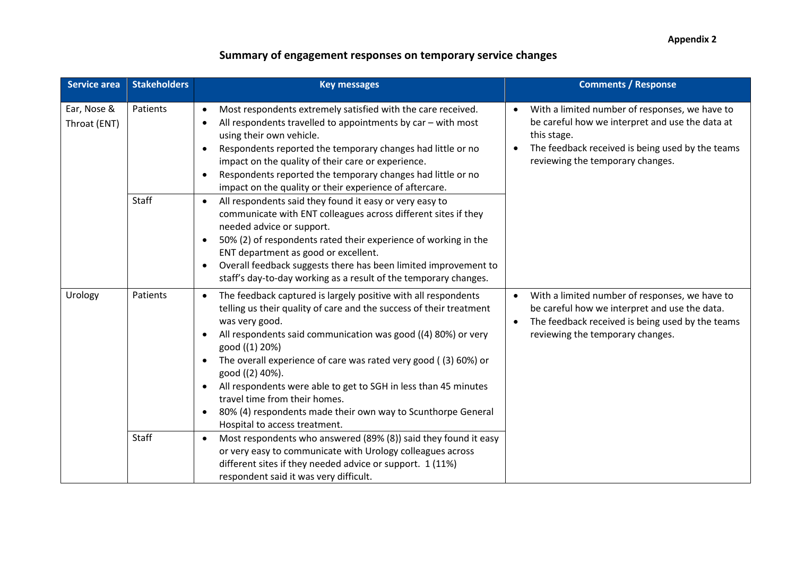| <b>Service area</b>         | <b>Stakeholders</b> | <b>Key messages</b>                                                                                                                                                                                                                                                                                                                                                                                                                                                                                                                                                                                    | <b>Comments / Response</b>                                                                                                                                                                                            |
|-----------------------------|---------------------|--------------------------------------------------------------------------------------------------------------------------------------------------------------------------------------------------------------------------------------------------------------------------------------------------------------------------------------------------------------------------------------------------------------------------------------------------------------------------------------------------------------------------------------------------------------------------------------------------------|-----------------------------------------------------------------------------------------------------------------------------------------------------------------------------------------------------------------------|
| Ear, Nose &<br>Throat (ENT) | Patients            | Most respondents extremely satisfied with the care received.<br>$\bullet$<br>All respondents travelled to appointments by car - with most<br>$\bullet$<br>using their own vehicle.<br>Respondents reported the temporary changes had little or no<br>$\bullet$<br>impact on the quality of their care or experience.<br>Respondents reported the temporary changes had little or no<br>$\bullet$<br>impact on the quality or their experience of aftercare.                                                                                                                                            | With a limited number of responses, we have to<br>$\bullet$<br>be careful how we interpret and use the data at<br>this stage.<br>The feedback received is being used by the teams<br>reviewing the temporary changes. |
|                             | <b>Staff</b>        | All respondents said they found it easy or very easy to<br>$\bullet$<br>communicate with ENT colleagues across different sites if they<br>needed advice or support.<br>50% (2) of respondents rated their experience of working in the<br>$\bullet$<br>ENT department as good or excellent.<br>Overall feedback suggests there has been limited improvement to<br>$\bullet$<br>staff's day-to-day working as a result of the temporary changes.                                                                                                                                                        |                                                                                                                                                                                                                       |
| Urology                     | Patients            | The feedback captured is largely positive with all respondents<br>$\bullet$<br>telling us their quality of care and the success of their treatment<br>was very good.<br>All respondents said communication was good ((4) 80%) or very<br>$\bullet$<br>good ((1) 20%)<br>The overall experience of care was rated very good ((3) 60%) or<br>$\bullet$<br>good ((2) 40%).<br>All respondents were able to get to SGH in less than 45 minutes<br>$\bullet$<br>travel time from their homes.<br>80% (4) respondents made their own way to Scunthorpe General<br>$\bullet$<br>Hospital to access treatment. | With a limited number of responses, we have to<br>$\bullet$<br>be careful how we interpret and use the data.<br>The feedback received is being used by the teams<br>reviewing the temporary changes.                  |
|                             | Staff               | Most respondents who answered (89% (8)) said they found it easy<br>$\bullet$<br>or very easy to communicate with Urology colleagues across<br>different sites if they needed advice or support. 1 (11%)<br>respondent said it was very difficult.                                                                                                                                                                                                                                                                                                                                                      |                                                                                                                                                                                                                       |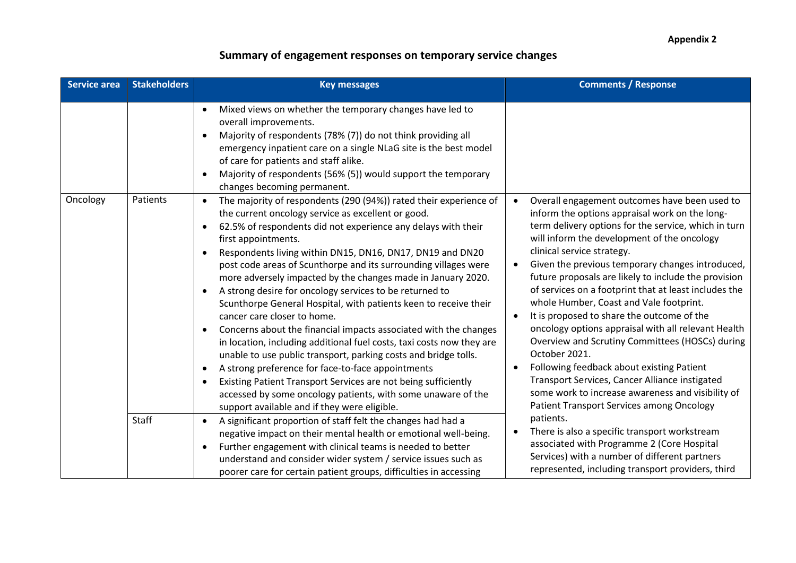| <b>Service area</b> | <b>Stakeholders</b> | <b>Key messages</b>                                                                                                                                                                                                                                                                                                                                                                                                                                                                                                                                                                                                                                                                                                                                                                                                                                                                                                                                                                                                                                                                                                | <b>Comments / Response</b>                                                                                                                                                                                                                                                                                                                                                                                                                                                                                                                                                                                                                                                                                                                                                                                                                  |
|---------------------|---------------------|--------------------------------------------------------------------------------------------------------------------------------------------------------------------------------------------------------------------------------------------------------------------------------------------------------------------------------------------------------------------------------------------------------------------------------------------------------------------------------------------------------------------------------------------------------------------------------------------------------------------------------------------------------------------------------------------------------------------------------------------------------------------------------------------------------------------------------------------------------------------------------------------------------------------------------------------------------------------------------------------------------------------------------------------------------------------------------------------------------------------|---------------------------------------------------------------------------------------------------------------------------------------------------------------------------------------------------------------------------------------------------------------------------------------------------------------------------------------------------------------------------------------------------------------------------------------------------------------------------------------------------------------------------------------------------------------------------------------------------------------------------------------------------------------------------------------------------------------------------------------------------------------------------------------------------------------------------------------------|
|                     |                     | Mixed views on whether the temporary changes have led to<br>$\bullet$<br>overall improvements.<br>Majority of respondents (78% (7)) do not think providing all<br>emergency inpatient care on a single NLaG site is the best model<br>of care for patients and staff alike.<br>Majority of respondents (56% (5)) would support the temporary<br>$\bullet$<br>changes becoming permanent.                                                                                                                                                                                                                                                                                                                                                                                                                                                                                                                                                                                                                                                                                                                           |                                                                                                                                                                                                                                                                                                                                                                                                                                                                                                                                                                                                                                                                                                                                                                                                                                             |
| Oncology            | Patients            | The majority of respondents (290 (94%)) rated their experience of<br>$\bullet$<br>the current oncology service as excellent or good.<br>62.5% of respondents did not experience any delays with their<br>$\bullet$<br>first appointments.<br>Respondents living within DN15, DN16, DN17, DN19 and DN20<br>post code areas of Scunthorpe and its surrounding villages were<br>more adversely impacted by the changes made in January 2020.<br>A strong desire for oncology services to be returned to<br>$\bullet$<br>Scunthorpe General Hospital, with patients keen to receive their<br>cancer care closer to home.<br>Concerns about the financial impacts associated with the changes<br>$\bullet$<br>in location, including additional fuel costs, taxi costs now they are<br>unable to use public transport, parking costs and bridge tolls.<br>A strong preference for face-to-face appointments<br>$\bullet$<br>Existing Patient Transport Services are not being sufficiently<br>$\bullet$<br>accessed by some oncology patients, with some unaware of the<br>support available and if they were eligible. | Overall engagement outcomes have been used to<br>inform the options appraisal work on the long-<br>term delivery options for the service, which in turn<br>will inform the development of the oncology<br>clinical service strategy.<br>Given the previous temporary changes introduced,<br>future proposals are likely to include the provision<br>of services on a footprint that at least includes the<br>whole Humber, Coast and Vale footprint.<br>It is proposed to share the outcome of the<br>$\bullet$<br>oncology options appraisal with all relevant Health<br>Overview and Scrutiny Committees (HOSCs) during<br>October 2021.<br>Following feedback about existing Patient<br>Transport Services, Cancer Alliance instigated<br>some work to increase awareness and visibility of<br>Patient Transport Services among Oncology |
|                     | Staff               | A significant proportion of staff felt the changes had had a<br>$\bullet$<br>negative impact on their mental health or emotional well-being.<br>Further engagement with clinical teams is needed to better<br>$\bullet$<br>understand and consider wider system / service issues such as<br>poorer care for certain patient groups, difficulties in accessing                                                                                                                                                                                                                                                                                                                                                                                                                                                                                                                                                                                                                                                                                                                                                      | patients.<br>There is also a specific transport workstream<br>associated with Programme 2 (Core Hospital<br>Services) with a number of different partners<br>represented, including transport providers, third                                                                                                                                                                                                                                                                                                                                                                                                                                                                                                                                                                                                                              |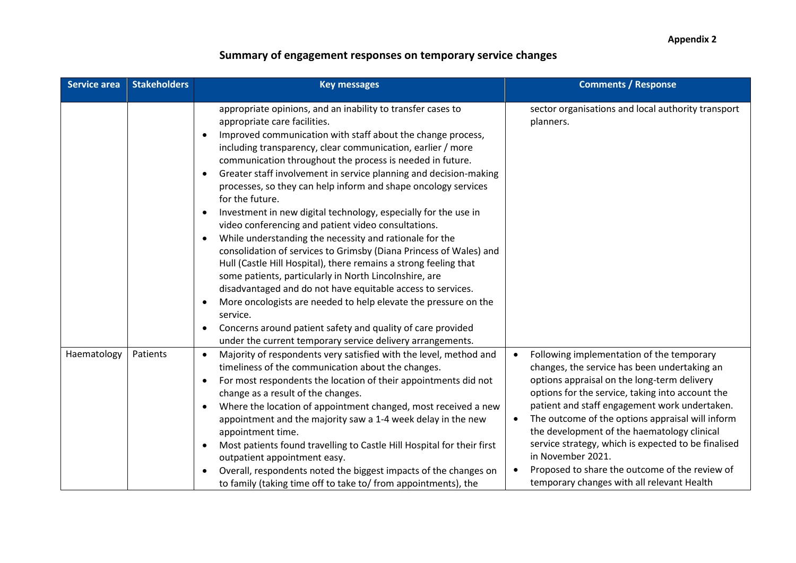| <b>Service area</b> | <b>Stakeholders</b> | <b>Key messages</b>                                                                                                                                                                                                                                                                                                                                                                                                                                                                                                                                                                                                                                                                                                                                                                                                                                                                                                                                                                                                                                                                                                                                                                        | <b>Comments / Response</b>                                                                                                                                                                                                                                                                                                                                                                                                                                                                                                                |
|---------------------|---------------------|--------------------------------------------------------------------------------------------------------------------------------------------------------------------------------------------------------------------------------------------------------------------------------------------------------------------------------------------------------------------------------------------------------------------------------------------------------------------------------------------------------------------------------------------------------------------------------------------------------------------------------------------------------------------------------------------------------------------------------------------------------------------------------------------------------------------------------------------------------------------------------------------------------------------------------------------------------------------------------------------------------------------------------------------------------------------------------------------------------------------------------------------------------------------------------------------|-------------------------------------------------------------------------------------------------------------------------------------------------------------------------------------------------------------------------------------------------------------------------------------------------------------------------------------------------------------------------------------------------------------------------------------------------------------------------------------------------------------------------------------------|
|                     |                     | appropriate opinions, and an inability to transfer cases to<br>appropriate care facilities.<br>Improved communication with staff about the change process,<br>$\bullet$<br>including transparency, clear communication, earlier / more<br>communication throughout the process is needed in future.<br>Greater staff involvement in service planning and decision-making<br>$\bullet$<br>processes, so they can help inform and shape oncology services<br>for the future.<br>Investment in new digital technology, especially for the use in<br>$\bullet$<br>video conferencing and patient video consultations.<br>While understanding the necessity and rationale for the<br>٠<br>consolidation of services to Grimsby (Diana Princess of Wales) and<br>Hull (Castle Hill Hospital), there remains a strong feeling that<br>some patients, particularly in North Lincolnshire, are<br>disadvantaged and do not have equitable access to services.<br>More oncologists are needed to help elevate the pressure on the<br>$\bullet$<br>service.<br>Concerns around patient safety and quality of care provided<br>$\bullet$<br>under the current temporary service delivery arrangements. | sector organisations and local authority transport<br>planners.                                                                                                                                                                                                                                                                                                                                                                                                                                                                           |
| Haematology         | Patients            | Majority of respondents very satisfied with the level, method and<br>$\bullet$<br>timeliness of the communication about the changes.<br>For most respondents the location of their appointments did not<br>$\bullet$<br>change as a result of the changes.<br>Where the location of appointment changed, most received a new<br>$\bullet$<br>appointment and the majority saw a 1-4 week delay in the new<br>appointment time.<br>Most patients found travelling to Castle Hill Hospital for their first<br>$\bullet$<br>outpatient appointment easy.<br>Overall, respondents noted the biggest impacts of the changes on<br>٠<br>to family (taking time off to take to/ from appointments), the                                                                                                                                                                                                                                                                                                                                                                                                                                                                                           | Following implementation of the temporary<br>changes, the service has been undertaking an<br>options appraisal on the long-term delivery<br>options for the service, taking into account the<br>patient and staff engagement work undertaken.<br>The outcome of the options appraisal will inform<br>$\bullet$<br>the development of the haematology clinical<br>service strategy, which is expected to be finalised<br>in November 2021.<br>Proposed to share the outcome of the review of<br>temporary changes with all relevant Health |